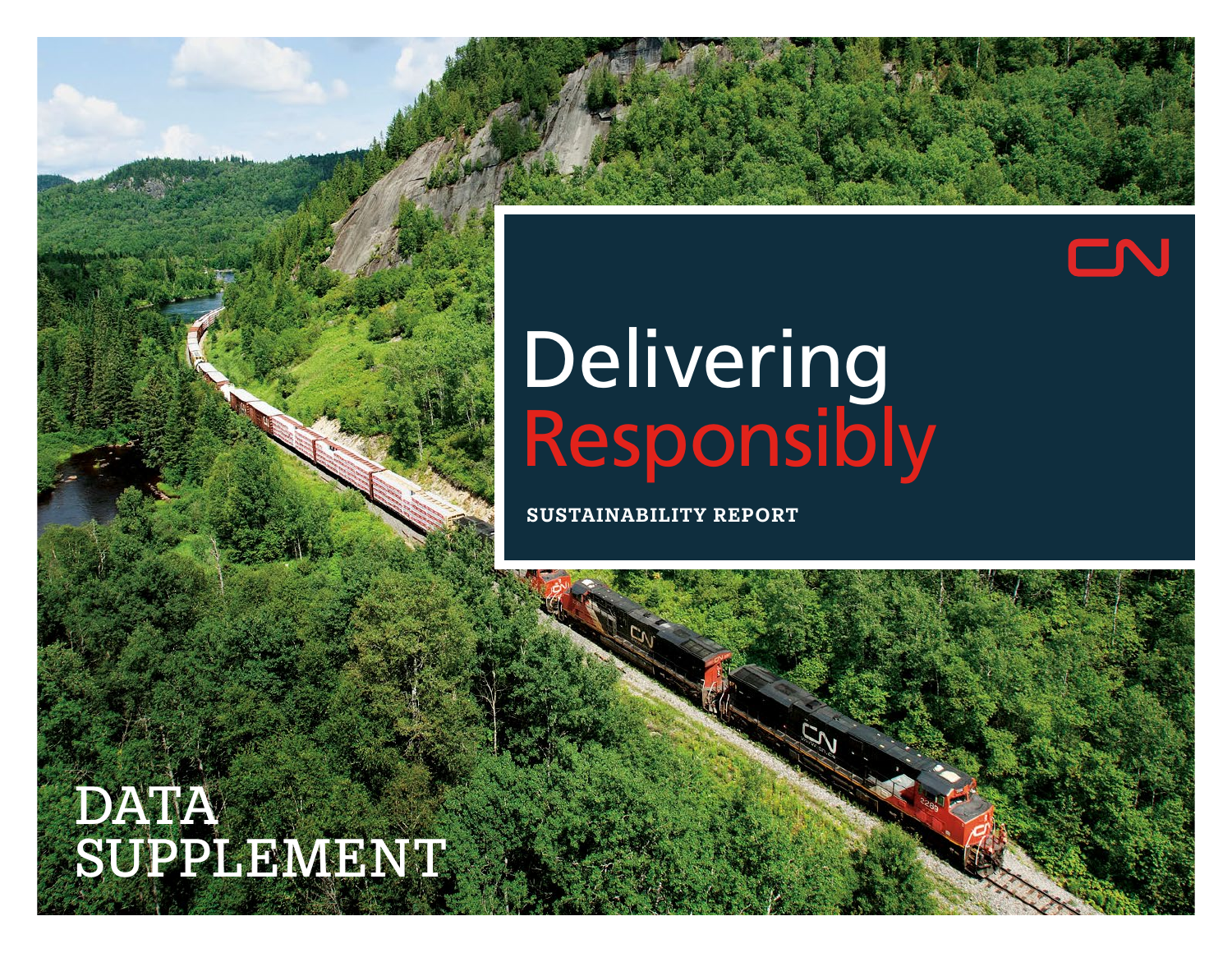# EN

# **Delivering** Responsibly

Sustainability Report

## **DATA** SUPPLEMENT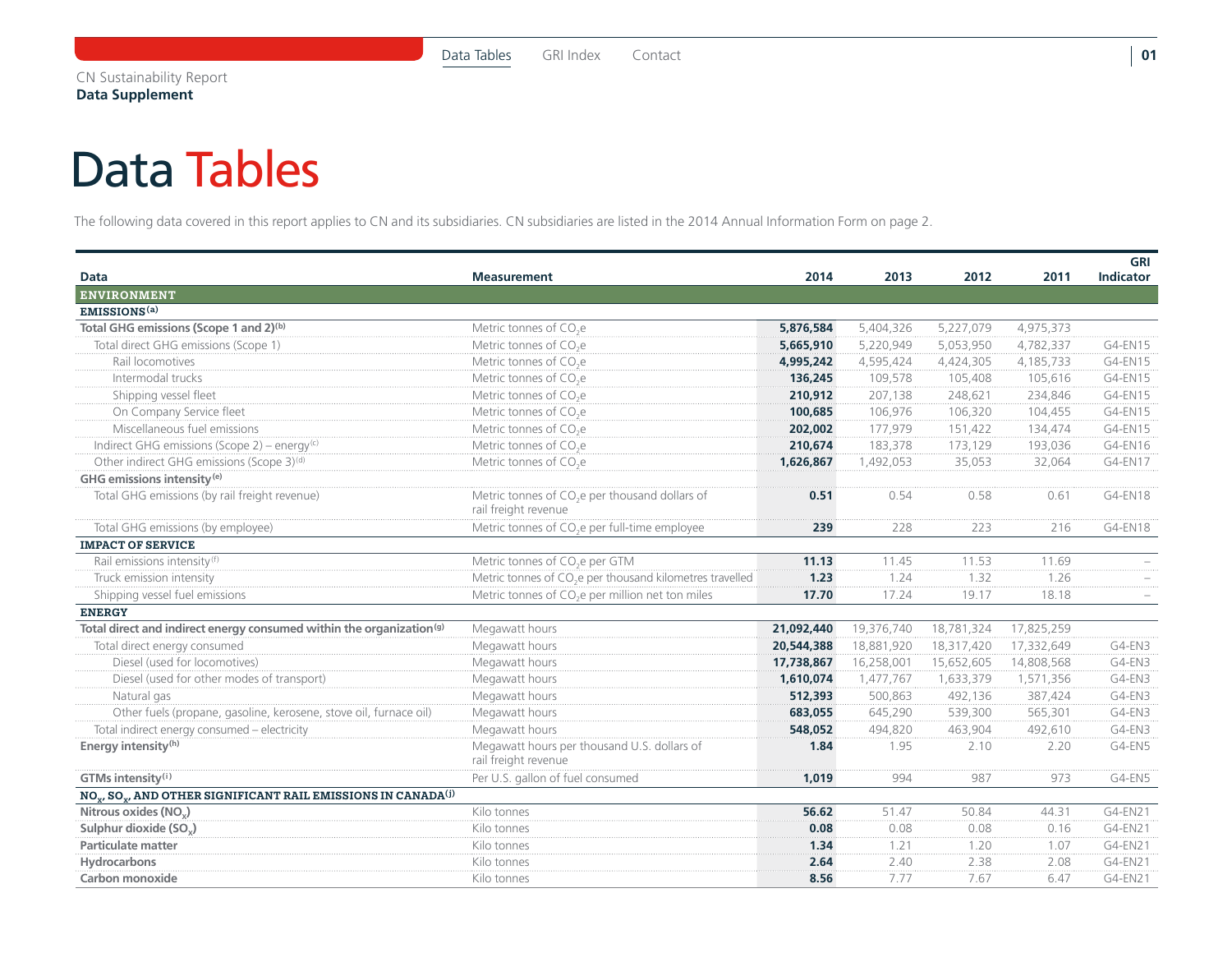### <span id="page-1-0"></span>Data Tables

The following data covered in this report applies to CN and its subsidiaries. CN subsidiaries are listed in the 2014 Annual Information Form on page 2.

| <b>Data</b>                                                                                       | <b>Measurement</b>                                                                 | 2014       | 2013       | 2012       | 2011       | <b>GRI</b><br><b>Indicator</b> |
|---------------------------------------------------------------------------------------------------|------------------------------------------------------------------------------------|------------|------------|------------|------------|--------------------------------|
| <b>ENVIRONMENT</b>                                                                                |                                                                                    |            |            |            |            |                                |
| EMISSIONS <sup>(a)</sup>                                                                          |                                                                                    |            |            |            |            |                                |
| Total GHG emissions (Scope 1 and 2) <sup>(b)</sup>                                                | Metric tonnes of CO <sub>2</sub> e                                                 | 5,876,584  | 5,404,326  | 5,227,079  | 4,975,373  |                                |
| Total direct GHG emissions (Scope 1)                                                              | Metric tonnes of CO <sub>2</sub> e                                                 | 5,665,910  | 5,220,949  | 5,053,950  | 4,782,337  | G4-EN15                        |
| Rail locomotives                                                                                  | Metric tonnes of CO <sub>2</sub> e                                                 | 4,995,242  | 4,595,424  | 4,424,305  | 4,185,733  | G4-EN15                        |
| Intermodal trucks                                                                                 | Metric tonnes of CO <sub>2</sub> e                                                 | 136,245    | 109,578    | 105,408    | 105,616    | G4-EN15                        |
| Shipping vessel fleet                                                                             | Metric tonnes of CO <sub>2</sub> e                                                 | 210,912    | 207,138    | 248,621    | 234,846    | G4-EN15                        |
| On Company Service fleet                                                                          | Metric tonnes of CO <sub>2</sub> e                                                 | 100,685    | 106,976    | 106,320    | 104,455    | G4-EN15                        |
| Miscellaneous fuel emissions                                                                      | Metric tonnes of CO <sub>2</sub> e                                                 | 202,002    | 177,979    | 151,422    | 134,474    | G4-EN15                        |
| Indirect GHG emissions (Scope 2) – energy <sup>(c)</sup>                                          | Metric tonnes of CO <sub>2</sub> e                                                 | 210,674    | 183,378    | 173,129    | 193,036    | G4-EN16                        |
| Other indirect GHG emissions (Scope 3) <sup>(d)</sup>                                             | Metric tonnes of CO <sub>2</sub> e                                                 | 1,626,867  | 1,492,053  | 35,053     | 32,064     | G4-EN17                        |
| GHG emissions intensity <sup>(e)</sup>                                                            |                                                                                    |            |            |            |            |                                |
| Total GHG emissions (by rail freight revenue)                                                     | Metric tonnes of CO <sub>2</sub> e per thousand dollars of<br>rail freight revenue | 0.51       | 0.54       | 0.58       | 0.61       | G4-EN18                        |
| Total GHG emissions (by employee)                                                                 | Metric tonnes of CO <sub>2</sub> e per full-time employee                          | 239        | 228        | 223        | 216        | G4-EN18                        |
| <b>IMPACT OF SERVICE</b>                                                                          |                                                                                    |            |            |            |            |                                |
| Rail emissions intensity <sup>(f)</sup>                                                           | Metric tonnes of CO <sub>2</sub> e per GTM                                         | 11.13      | 11.45      | 11.53      | 11.69      |                                |
| Truck emission intensity                                                                          | Metric tonnes of CO <sub>2</sub> e per thousand kilometres travelled               | 1.23       | 1.24       | 1.32       | 1.26       |                                |
| Shipping vessel fuel emissions                                                                    | Metric tonnes of CO <sub>2</sub> e per million net ton miles                       | 17.70      | 17.24      | 19.17      | 18.18      |                                |
| <b>ENERGY</b>                                                                                     |                                                                                    |            |            |            |            |                                |
| Total direct and indirect energy consumed within the organization <sup>(g)</sup>                  | Megawatt hours                                                                     | 21,092,440 | 19,376,740 | 18,781,324 | 17,825,259 |                                |
| Total direct energy consumed                                                                      | Megawatt hours                                                                     | 20,544,388 | 18,881,920 | 18,317,420 | 17,332,649 | G4-EN3                         |
| Diesel (used for locomotives)                                                                     | Megawatt hours                                                                     | 17,738,867 | 16,258,001 | 15,652,605 | 14,808,568 | G4-EN3                         |
| Diesel (used for other modes of transport)                                                        | Megawatt hours                                                                     | 1,610,074  | 1,477,767  | 1,633,379  | 1,571,356  | G4-EN3                         |
| Natural gas                                                                                       | Megawatt hours                                                                     | 512,393    | 500,863    | 492,136    | 387,424    | G4-EN3                         |
| Other fuels (propane, gasoline, kerosene, stove oil, furnace oil)                                 | Megawatt hours                                                                     | 683,055    | 645,290    | 539,300    | 565,301    | G4-EN3                         |
| Total indirect energy consumed - electricity                                                      | Megawatt hours                                                                     | 548,052    | 494,820    | 463,904    | 492,610    | G4-EN3                         |
| Energy intensity <sup>(h)</sup>                                                                   | Megawatt hours per thousand U.S. dollars of<br>rail freight revenue                | 1.84       | 1.95       | 2.10       | 2.20       | G4-EN5                         |
| GTMs intensity(i)                                                                                 | Per U.S. gallon of fuel consumed                                                   | 1,019      | 994        | 987        | 973        | G4-EN5                         |
| NO <sub>v</sub> , SO <sub>v</sub> , AND OTHER SIGNIFICANT RAIL EMISSIONS IN CANADA <sup>(j)</sup> |                                                                                    |            |            |            |            |                                |
| Nitrous oxides (NO <sub>x</sub> )                                                                 | Kilo tonnes                                                                        | 56.62      | 51.47      | 50.84      | 44.31      | G4-EN21                        |
| Sulphur dioxide (SO <sub>v</sub> )                                                                | Kilo tonnes                                                                        | 0.08       | 0.08       | 0.08       | 0.16       | G4-EN21                        |
| <b>Particulate matter</b>                                                                         | Kilo tonnes                                                                        | 1.34       | 1.21       | 1.20       | 1.07       | G4-EN21                        |
| Hydrocarbons                                                                                      | Kilo tonnes                                                                        | 2.64       | 2.40       | 2.38       | 2.08       | G4-EN21                        |
| Carbon monoxide                                                                                   | Kilo tonnes                                                                        | 8.56       | 7.77       | 7.67       | 6.47       | G4-EN21                        |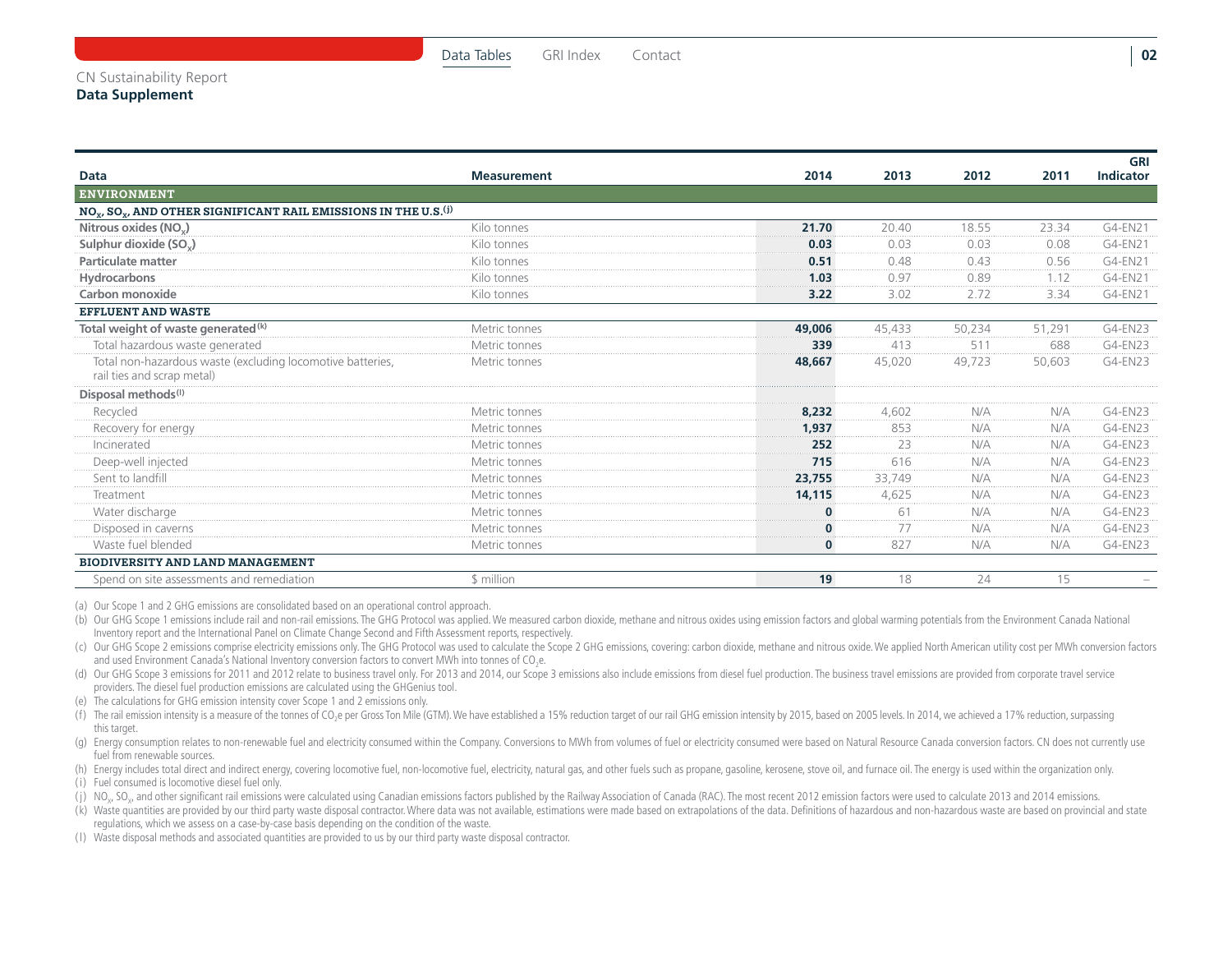#### **Data Measurement 2014 2013 2012 2011 GRI Indicator** ENVIRONMENT  $NO<sub>v</sub>$ , SO<sub> $v$ </sub>, AND OTHER SIGNIFICANT RAIL EMISSIONS IN THE U.S.<sup>(j)</sup> **Nitrous oxides (NO<sub>x</sub>) Allo tonnes 21.70** 20.40 18.55 23.34 G4-EN21 **Sulphur dioxide (SOX)** Kilo tonnes **0.03** 0.03 0.03 0.08 G4-EN21 **Particulate matter** 2005 **CIT All the COVID-ENCITS COVID-ENCITS COVID-ENCITS COVID-ENCITS COVID-ENCITS COVID-ENCITS COVID-ENCITS COVID-ENCITS COVID-ENCITS COVID-ENCITS COVID-ENCITS COVID-ENCITS COVID-ENCITS COVID-ENCITS C Hydrocarbons** Kilo tonnes **1.03** 0.97 0.89 1.12 G4-EN21 **Carbon monoxide** Kilo tonnes **3.22** 3.02 2.72 3.34 G4-EN21 Effluent and Waste **Total weight of waste generated<sup>(k)</sup> and the set of the Metric tonnes** and the set of the set of the set of the Metric tonnes and the set of the set of the set of the S1,291 G4-EN23 Total hazardous waste generated **1988 CALENZ3** Metric tonnes **1998 120 April 120 April 13** 413 511 688 G4-EN23 Total non-hazardous waste (excluding locomotive batteries, rail ties and scrap metal) Metric tonnes **48,667** 45,020 49,723 50,603 G4-EN23 **Disposal methods (l)** Recycled Metric tonnes **8,232** 4,602 N/A N/A G4-EN23 Recovery for energy **Metric tonnes Metric tonnes** Metric tonnes **1,937** 853 N/A N/A G4-EN23 Incinerated Metric tonnes **252** 23 N/A N/A G4-EN23 Deep-well injected Metric tonnes **715** 616 N/A N/A G4-EN23 Sent to landfill Metric tonnes **23,755** 33,749 N/A N/A G4-EN23 Treatment Metric tonnes **14,115** 4,625 N/A N/A G4-EN23 Water discharge Metric tonnes **0** 61 N/A N/A G4-EN23 Disposed in caverns Metric tonnes **0** 77 N/A N/A G4-EN23 Waste fuel blended Metric tonnes **0** 827 N/A N/A G4-EN23 Biodiversity and land management Spend on site assessments and remediation **19** 18 and the state of the state of the state of the state of the state of the state of the state of the state of the state of the state of the state of the state of the state of

(a) Our Scope 1 and 2 GHG emissions are consolidated based on an operational control approach.

(b) Our GHG Scope 1 emissions include rail and non-rail emissions. The GHG Protocol was applied. We measured carbon dioxide, methane and nitrous oxides using emission factors and global warming potentials from the Environm Inventory report and the International Panel on Climate Change Second and Fifth Assessment reports, respectively.

(c) Our GHG Scope 2 emissions comprise electricity emissions only. The GHG Protocol was used to calculate the Scope 2 GHG emissions, covering: carbon dioxide, methane and nitrous oxide. We applied North American utility co and used Environment Canada's National Inventory conversion factors to convert MWh into tonnes of CO<sub>2</sub>e.

(d) Our GHG Scope 3 emissions for 2011 and 2012 relate to business travel only. For 2013 and 2014, our Scope 3 emissions also include emissions from diesel fuel production. The business travel emissions are provided from c providers. The diesel fuel production emissions are calculated using the GHGenius tool.

(e) The calculations for GHG emission intensity cover Scope 1 and 2 emissions only.

(f) The rail emission intensity is a measure of the tonnes of CO<sub>2</sub>e per Gross Ton Mile (GTM). We have established a 15% reduction target of our rail GHG emission intensity by 2015, based on 2005 levels. In 2014, we achiev this target.

(g) Energy consumption relates to non-renewable fuel and electricity consumed within the Company. Conversions to MWh from volumes of fuel or electricity consumed were based on Natural Resource Canada conversion factors. CN fuel from renewable sources.

(h) Energy includes total direct and indirect energy, covering locomotive fuel, non-locomotive fuel, electricity, natural gas, and other fuels such as propane, gasoline, kerosene, stove oil, and furnace oil. The energy is

( i) Fuel consumed is locomotive diesel fuel only.

(i) NO., SO., and other significant rail emissions were calculated using Canadian emissions factors published by the Railway Association of Canada (RAC). The most recent 2012 emission factors were used to calculate 2013 an

(k) Waste quantities are provided by our third party waste disposal contractor. Where data was not available, estimations were made based on extrapolations of the data. Definitions of hazardous and non-hazardous waste are regulations, which we assess on a case-by-case basis depending on the condition of the waste.

( l) Waste disposal methods and associated quantities are provided to us by our third party waste disposal contractor.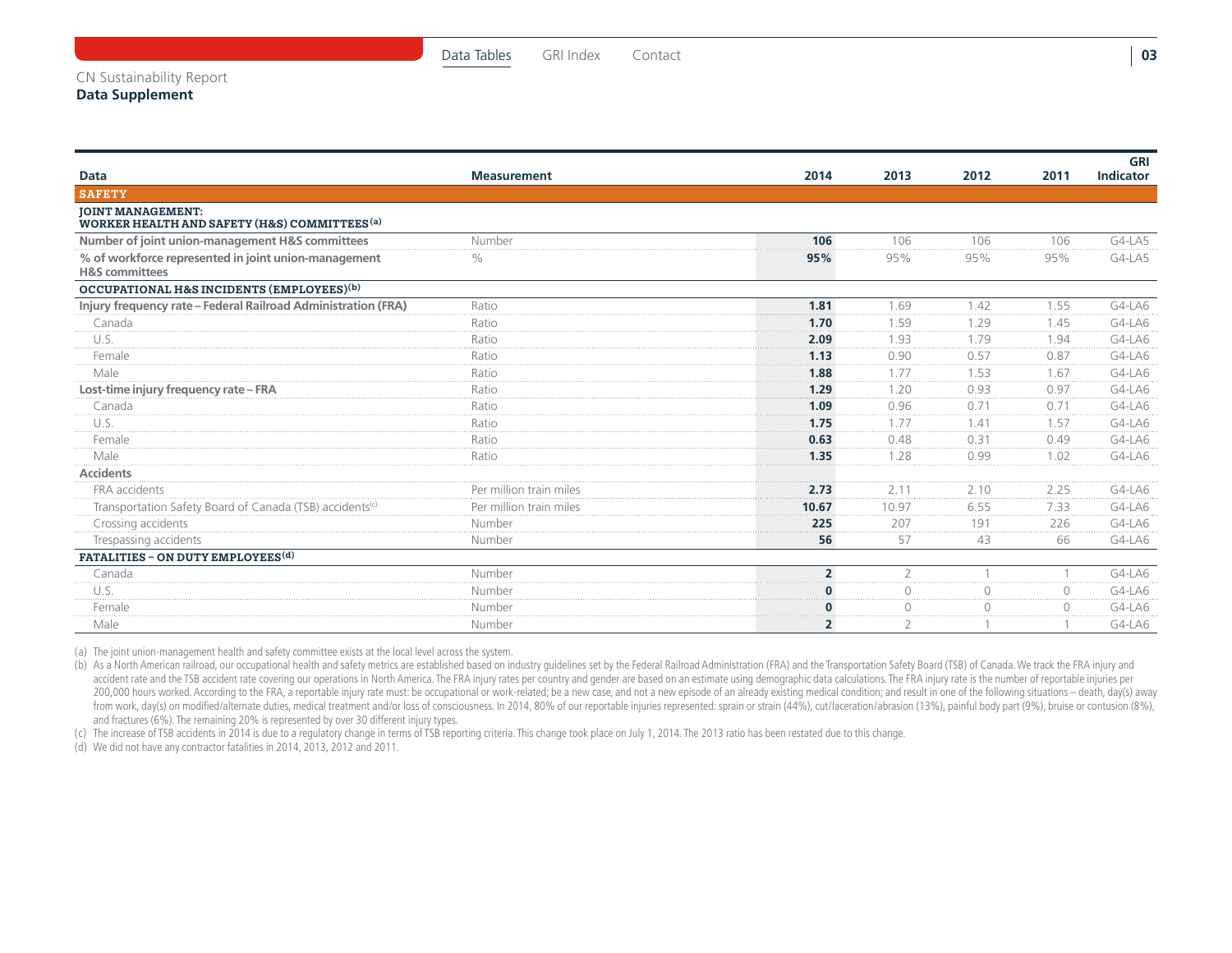|                                                                                      |                         |                |                |        |           | GRI       |
|--------------------------------------------------------------------------------------|-------------------------|----------------|----------------|--------|-----------|-----------|
| Data                                                                                 | <b>Measurement</b>      | 2014           | 2013           | 2012   | 2011      | Indicator |
| <b>SAFETY</b>                                                                        |                         |                |                |        |           |           |
| <b>JOINT MANAGEMENT:</b><br>WORKER HEALTH AND SAFETY (H&S) COMMITTEES <sup>(a)</sup> |                         |                |                |        |           |           |
| Number of joint union-management H&S committees                                      | Number                  | 106            | 106            | 106    | 106       | $G4-LA5$  |
| % of workforce represented in joint union-management<br><b>H&amp;S</b> committees    | $\frac{0}{0}$           | 95%            | 95%            | 95%    | 95%       | G4-LA5    |
| OCCUPATIONAL H&S INCIDENTS (EMPLOYEES)(b)                                            |                         |                |                |        |           |           |
| Injury frequency rate - Federal Railroad Administration (FRA)                        | Ratio                   | 1.81           | 1.69           | 1.42   | 1.55      | G4-LA6    |
| Canada                                                                               | Ratio                   | 1.70           | 1.59           | 1.29   | 1.45      | G4-LA6    |
| U.S.                                                                                 | Ratio                   | 2.09           | 1.93           | 1.79   | 1.94      | G4-LA6    |
| Female                                                                               | Ratio                   | 1.13           | 0.90           | 0.57   | 0.87      | G4-LA6    |
| Male                                                                                 | Ratio                   | 1.88           | 1.77           | 1.53   | 1.67      | G4-LA6    |
| Lost-time injury frequency rate - FRA                                                | Ratio                   | 1.29           | 1.20           | 0.93   | 0.97      | $G4-LAG$  |
| Canada                                                                               | Ratio                   | 1.09           | 0.96           | 0.71   | 0.71      | G4-LA6    |
| U.S.                                                                                 | Ratio                   | 1.75           | 1 7 7          | 141    | 1.57      | G4-LA6    |
| Female                                                                               | Ratio                   | 0.63           | 0.48           | 0.31   | 0.49      | G4-LA6    |
| Male                                                                                 | Ratio                   | 1.35           | 1.28           | 0.99   | 1.02      | G4-LA6    |
| <b>Accidents</b>                                                                     |                         |                |                |        |           |           |
| FRA accidents                                                                        | Per million train miles | 2.73           | 2.11           | 2.10   | 2.25      | $G4-LAG$  |
| Transportation Safety Board of Canada (TSB) accidents <sup>(c)</sup>                 | Per million train miles | 10.67          | 10.97          | 6.55   | 7.33      | G4-LA6    |
| Crossing accidents                                                                   | Number                  | 225            | 207            | 191    | 226       | G4-LA6    |
| Trespassing accidents                                                                | Number                  | 56             | 57             | 43     | 66        | G4-LA6    |
| FATALITIES - ON DUTY EMPLOYEES <sup>(d)</sup>                                        |                         |                |                |        |           |           |
| Canada                                                                               | Number                  | $\overline{2}$ | $\overline{2}$ |        |           | $G4-LAG$  |
| U.S.                                                                                 | Number                  | 0              | $\circ$        | $\cap$ | $\circ$   | G4-LA6    |
| Female                                                                               | Number                  | 0              | $\bigcap$      |        | $\bigcap$ | G4-LA6    |
| Male                                                                                 | Number                  | $\overline{2}$ | $\overline{2}$ |        |           | G4-LA6    |

(a) The joint union-management health and safety committee exists at the local level across the system.

(b) As a North American railroad, our occupational health and safety metrics are established based on industry quidelines set by the Federal Railroad Administration (FRA) and the Transportation Safety Board (TSB) of Canada accident rate and the TSB accident rate covering our operations in North America. The FRA injury rates per country and gender are based on an estimate using demographic data calculations. The FRA injury rate is the number 200,000 hours worked. According to the FRA, a reportable injury rate must: be occupational or work-related; be a new case, and not a new episode of an already existing medical condition; and result in one of the following from work, day(s) on modified/alternate duties, medical treatment and/or loss of consciousness. In 2014, 80% of our reportable injuries represented: sprain or strain (44%), cut/laceration/abrasion (13%), painful body part and fractures (6%). The remaining 20% is represented by over 30 different injury types.

(c) The increase of TSB accidents in 2014 is due to a regulatory change in terms of TSB reporting criteria. This change took place on July 1, 2014. The 2013 ratio has been restated due to this change.

(d) We did not have any contractor fatalities in 2014, 2013, 2012 and 2011.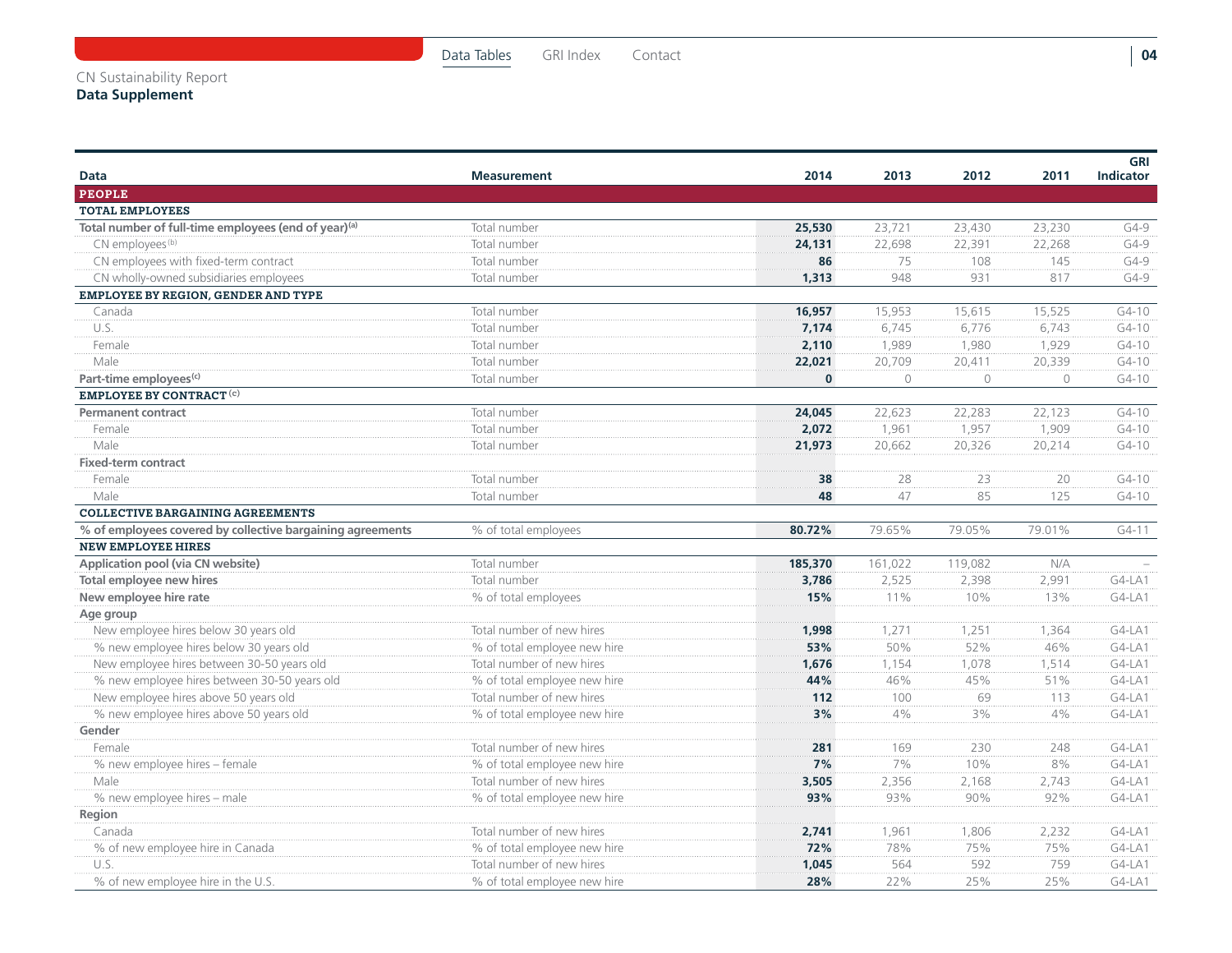| Data                                                             | <b>Measurement</b>           | 2014         | 2013    | 2012    | 2011    | GRI<br><b>Indicator</b> |
|------------------------------------------------------------------|------------------------------|--------------|---------|---------|---------|-------------------------|
| <b>PEOPLE</b>                                                    |                              |              |         |         |         |                         |
| <b>TOTAL EMPLOYEES</b>                                           |                              |              |         |         |         |                         |
| Total number of full-time employees (end of year) <sup>(a)</sup> | Total number                 | 25,530       | 23,721  | 23,430  | 23,230  | $G4-9$                  |
| CN employees <sup>(b)</sup>                                      | Total number                 | 24,131       | 22,698  | 22,391  | 22,268  | $G4-9$                  |
| CN employees with fixed-term contract                            | Total number                 | 86           | 75      | 108     | 145     | $G4-9$                  |
| CN wholly-owned subsidiaries employees                           | Total number                 | 1,313        | 948     | 931     | 817     | $G4-9$                  |
| EMPLOYEE BY REGION, GENDER AND TYPE                              |                              |              |         |         |         |                         |
| Canada                                                           | Total number                 | 16,957       | 15,953  | 15,615  | 15,525  | $G4 - 10$               |
| U.S.                                                             | Total number                 | 7,174        | 6,745   | 6,776   | 6,743   | $G4-10$                 |
| Female                                                           | Total number                 | 2,110        | 1,989   | 1,980   | 1,929   | $G4 - 10$               |
| Male                                                             | Total number                 | 22,021       | 20,709  | 20,411  | 20,339  | $G4-10$                 |
| Part-time employees <sup>(c)</sup>                               | Total number                 | $\mathbf{0}$ | $\circ$ | $\circ$ | $\circ$ | $G4-10$                 |
| <b>EMPLOYEE BY CONTRACT (c)</b>                                  |                              |              |         |         |         |                         |
| <b>Permanent contract</b>                                        | Total number                 | 24,045       | 22,623  | 22,283  | 22,123  | $G4 - 10$               |
| Female                                                           | Total number                 | 2,072        | 1,961   | 1,957   | 1,909   | $G4 - 10$               |
| Male                                                             | Total number                 | 21,973       | 20,662  | 20,326  | 20,214  | $G4-10$                 |
| <b>Fixed-term contract</b>                                       |                              |              |         |         |         |                         |
| Female                                                           | Total number                 | 38           | 28      | 23      | 20      | $G4-10$                 |
| Male                                                             | Total number                 | 48           | 47      | 85      | 125     | $G4 - 10$               |
| <b>COLLECTIVE BARGAINING AGREEMENTS</b>                          |                              |              |         |         |         |                         |
| % of employees covered by collective bargaining agreements       | % of total employees         | 80.72%       | 79.65%  | 79.05%  | 79.01%  | $G4-11$                 |
| <b>NEW EMPLOYEE HIRES</b>                                        |                              |              |         |         |         |                         |
| Application pool (via CN website)                                | Total number                 | 185,370      | 161,022 | 119,082 | N/A     |                         |
| Total employee new hires                                         | Total number                 | 3,786        | 2,525   | 2,398   | 2,991   | G4-LA1                  |
| New employee hire rate                                           | % of total employees         | 15%          | 11%     | 10%     | 13%     | $G4-LA1$                |
| Age group                                                        |                              |              |         |         |         |                         |
| New employee hires below 30 years old                            | Total number of new hires    | 1,998        | 1,271   | 1,251   | 1,364   | $G4-LA1$                |
| % new employee hires below 30 years old                          | % of total employee new hire | 53%          | 50%     | 52%     | 46%     | $G4-LA1$                |
| New employee hires between 30-50 years old                       | Total number of new hires    | 1,676        | 1,154   | 1,078   | 1,514   | G4-LA1                  |
| % new employee hires between 30-50 years old                     | % of total employee new hire | 44%          | 46%     | 45%     | 51%     | $G4-LA1$                |
| New employee hires above 50 years old                            | Total number of new hires    | 112          | 100     | 69      | 113     | G4-LA1                  |
| % new employee hires above 50 years old                          | % of total employee new hire | 3%           | 4%      | 3%      | 4%      | $G4-LA1$                |
| Gender                                                           |                              |              |         |         |         |                         |
| Female                                                           | Total number of new hires    | 281          | 169     | 230     | 248     | $G4-LA1$                |
| % new employee hires - female                                    | % of total employee new hire | 7%           | 7%      | 10%     | 8%      | $G4-LA1$                |
| Male                                                             | Total number of new hires    | 3,505        | 2,356   | 2,168   | 2,743   | G4-LA1                  |
| % new employee hires - male                                      | % of total employee new hire | 93%          | 93%     | 90%     | 92%     | $G4-LA1$                |
| Region                                                           |                              |              |         |         |         |                         |
| Canada                                                           | Total number of new hires    | 2,741        | 1,961   | 1,806   | 2,232   | $G4-LA1$                |
| % of new employee hire in Canada                                 | % of total employee new hire | 72%          | 78%     | 75%     | 75%     | $G4-LA1$                |
| U.S.                                                             | Total number of new hires    | 1,045        | 564     | 592     | 759     | G4-LA1                  |
| % of new employee hire in the U.S.                               | % of total employee new hire | 28%          | 22%     | 25%     | 25%     | $G4-LA1$                |

[Data Tables](#page-1-0) [GRI Index](#page-9-0) Contact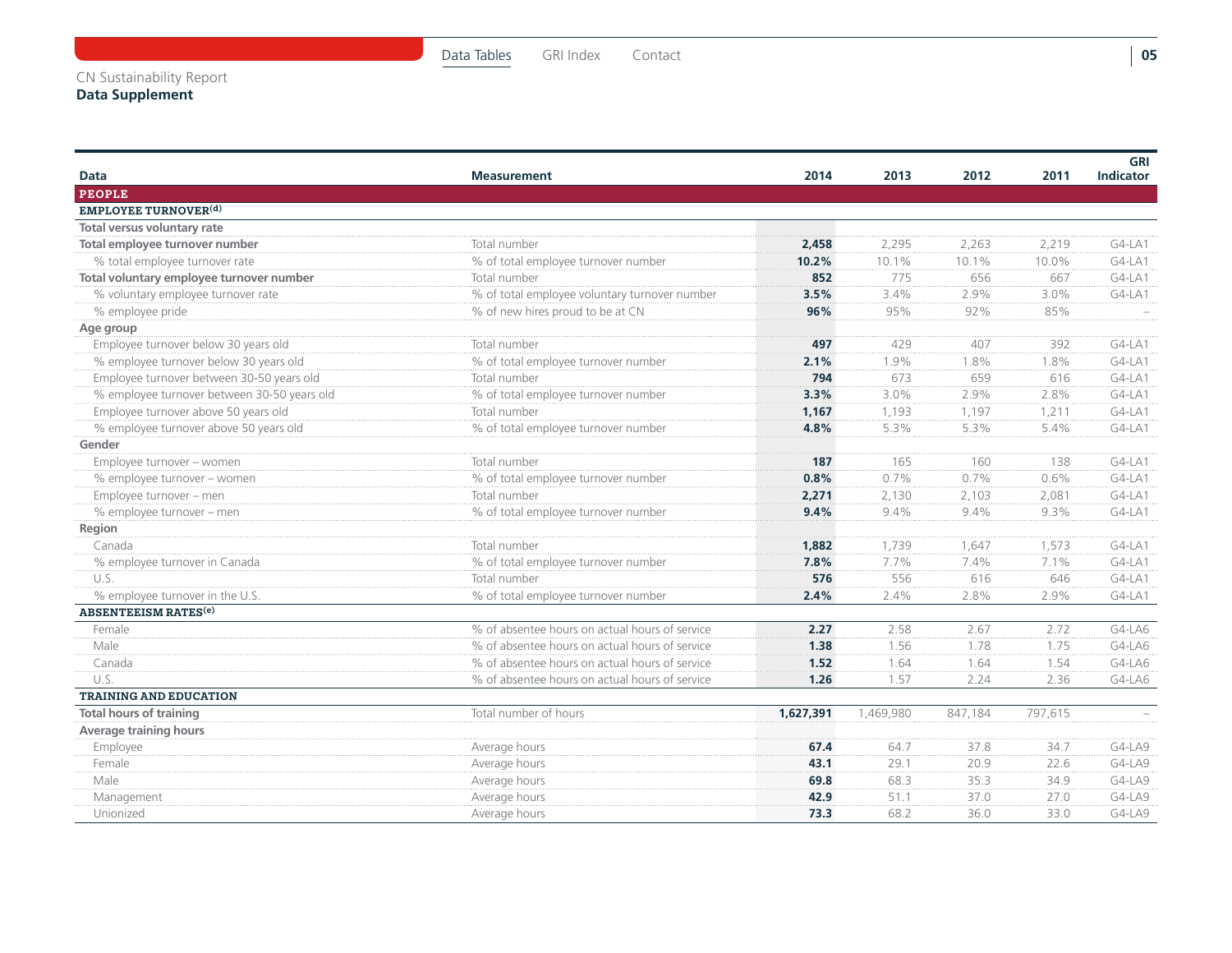| <b>Data</b>                                 | <b>Measurement</b>                             | 2014      | 2013      | 2012    | 2011    | <b>GRI</b><br><b>Indicator</b> |
|---------------------------------------------|------------------------------------------------|-----------|-----------|---------|---------|--------------------------------|
| <b>PEOPLE</b>                               |                                                |           |           |         |         |                                |
| <b>EMPLOYEE TURNOVER(d)</b>                 |                                                |           |           |         |         |                                |
| Total versus voluntary rate                 |                                                |           |           |         |         |                                |
| Total employee turnover number              | Total number                                   | 2,458     | 2,295     | 2,263   | 2,219   | $G4-LA1$                       |
| % total employee turnover rate              | % of total employee turnover number            | 10.2%     | 10.1%     | 10.1%   | 10.0%   | $G4-LA1$                       |
| Total voluntary employee turnover number    | Total number                                   | 852       | 775       | 656     | 667     | $G4-LA1$                       |
| % voluntary employee turnover rate          | % of total employee voluntary turnover number  | 3.5%      | 3.4%      | 2.9%    | 3.0%    | $G4-LA1$                       |
| % employee pride                            | % of new hires proud to be at CN               | 96%       | 95%       | 92%     | 85%     |                                |
| Age group                                   |                                                |           |           |         |         |                                |
| Employee turnover below 30 years old        | Total number                                   | 497       | 429       | 407     | 392     | $G4-LA1$                       |
| % employee turnover below 30 years old      | % of total employee turnover number            | 2.1%      | 1.9%      | 1.8%    | 1.8%    | $G4-LA1$                       |
| Employee turnover between 30-50 years old   | Total number                                   | 794       | 673       | 659     | 616     | $G4-LA1$                       |
| % employee turnover between 30-50 years old | % of total employee turnover number            | 3.3%      | 3.0%      | 2.9%    | 2.8%    | $G4-LA1$                       |
| Employee turnover above 50 years old        | Total number                                   | 1,167     | 1,193     | 1,197   | 1,211   | $G4-LA1$                       |
| % employee turnover above 50 years old      | % of total employee turnover number            | 4.8%      | 5.3%      | 5.3%    | 5.4%    | $G4-LA1$                       |
| Gender                                      |                                                |           |           |         |         |                                |
| Employee turnover - women                   | Total number                                   | 187       | 165       | 160     | 138     | $G4-LA1$                       |
| % employee turnover - women                 | % of total employee turnover number            | 0.8%      | 0.7%      | 0.7%    | 0.6%    | $G4-LA1$                       |
| Employee turnover - men                     | Total number                                   | 2,271     | 2,130     | 2,103   | 2,081   | $G4-LA1$                       |
| % employee turnover - men                   | % of total employee turnover number            | 9.4%      | 9.4%      | 9.4%    | 9.3%    | G4-LA1                         |
| Region                                      |                                                |           |           |         |         |                                |
| Canada                                      | Total number                                   | 1,882     | 1,739     | 1,647   | 1,573   | $G4-LA1$                       |
| % employee turnover in Canada               | % of total employee turnover number            | 7.8%      | 7.7%      | 7.4%    | 7.1%    | $G4-LA1$                       |
| U.S.                                        | Total number                                   | 576       | 556       | 616     | 646     | $G4-LA1$                       |
| % employee turnover in the U.S.             | % of total employee turnover number            | 2.4%      | 2.4%      | 2.8%    | 2.9%    | $G4-LA1$                       |
| <b>ABSENTEEISM RATES<sup>(e)</sup></b>      |                                                |           |           |         |         |                                |
| Female                                      | % of absentee hours on actual hours of service | 2.27      | 2.58      | 2.67    | 2.72    | $G4-LAG$                       |
| Male                                        | % of absentee hours on actual hours of service | 1.38      | 1.56      | 1.78    | 1.75    | $G4-LAG$                       |
| Canada                                      | % of absentee hours on actual hours of service | 1.52      | 1.64      | 1.64    | 1.54    | $G4-LAG$                       |
| U.S.                                        | % of absentee hours on actual hours of service | 1.26      | 1.57      | 2.24    | 2.36    | G4-LA6                         |
| <b>TRAINING AND EDUCATION</b>               |                                                |           |           |         |         |                                |
| <b>Total hours of training</b>              | Total number of hours                          | 1,627,391 | 1,469,980 | 847.184 | 797.615 |                                |
| <b>Average training hours</b>               |                                                |           |           |         |         |                                |
| Employee                                    | Average hours                                  | 67.4      | 64.7      | 37.8    | 34.7    | $G4-LA9$                       |
| Female                                      | Average hours                                  | 43.1      | 29.1      | 20.9    | 22.6    | $G4-LA9$                       |
| Male                                        | Average hours                                  | 69.8      | 68.3      | 35.3    | 34.9    | $G4-LA9$                       |
| Management                                  | Average hours                                  | 42.9      | 51.1      | 37.0    | 27.0    | $G4-LA9$                       |
| Unionized                                   | Average hours                                  | 73.3      | 68.2      | 36.0    | 33.0    | G4-LA9                         |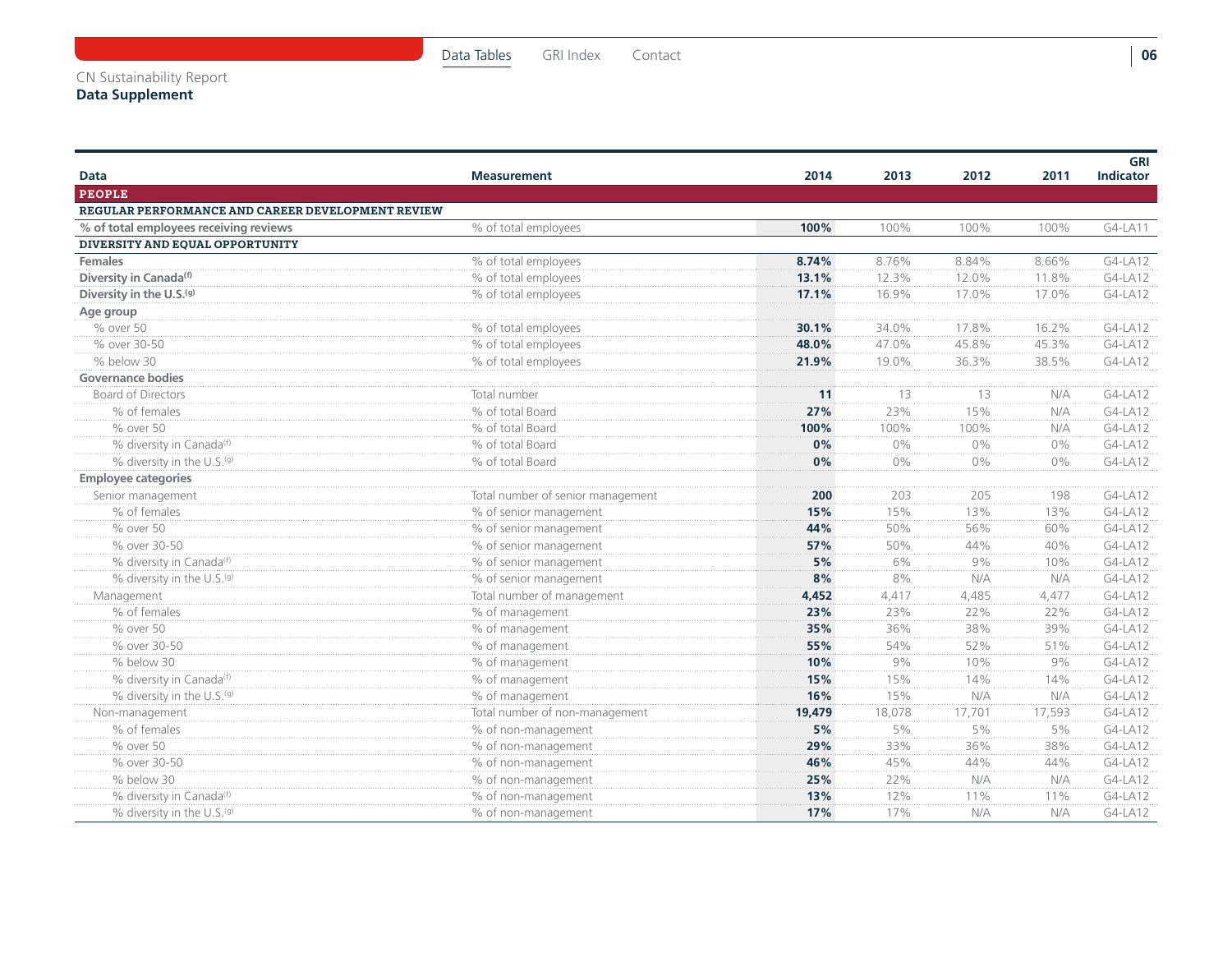| Data                                              | <b>Measurement</b>                | 2014   | 2013   | 2012   | 2011   | GRI<br><b>Indicator</b> |
|---------------------------------------------------|-----------------------------------|--------|--------|--------|--------|-------------------------|
| <b>PEOPLE</b>                                     |                                   |        |        |        |        |                         |
| REGULAR PERFORMANCE AND CAREER DEVELOPMENT REVIEW |                                   |        |        |        |        |                         |
| % of total employees receiving reviews            | % of total employees              | 100%   | 100%   | 100%   | 100%   | G4-LA11                 |
| DIVERSITY AND EQUAL OPPORTUNITY                   |                                   |        |        |        |        |                         |
| <b>Females</b>                                    | % of total employees              | 8.74%  | 8.76%  | 8.84%  | 8.66%  | G4-LA12                 |
| Diversity in Canada <sup>(f)</sup>                | % of total employees              | 13.1%  | 12.3%  | 12.0%  | 11.8%  | G4-LA12                 |
| Diversity in the U.S.(g)                          | % of total employees              | 17.1%  | 16.9%  | 17.0%  | 17.0%  | G4-LA12                 |
| Age group                                         |                                   |        |        |        |        |                         |
| % over 50                                         | % of total employees              | 30.1%  | 34.0%  | 17.8%  | 16.2%  | G4-LA12                 |
| % over 30-50                                      | % of total employees              | 48.0%  | 47.0%  | 45.8%  | 45.3%  | G4-LA12                 |
| % below 30                                        | % of total employees              | 21.9%  | 19.0%  | 36.3%  | 38.5%  | G4-LA12                 |
| Governance bodies                                 |                                   |        |        |        |        |                         |
| <b>Board of Directors</b>                         | Total number                      | 11     | 13     | 13     | N/A    | G4-LA12                 |
| % of females                                      | % of total Board                  | 27%    | 23%    | 15%    | N/A    | G4-LA12                 |
| % over 50                                         | % of total Board                  | 100%   | 100%   | 100%   | N/A    | G4-LA12                 |
| % diversity in Canada <sup>(f)</sup>              | % of total Board                  | 0%     | $0\%$  | $0\%$  | $0\%$  | G4-LA12                 |
| % diversity in the U.S.(g)                        | % of total Board                  | 0%     | $0\%$  | $0\%$  | $0\%$  | G4-LA12                 |
| <b>Employee categories</b>                        |                                   |        |        |        |        |                         |
| Senior management                                 | Total number of senior management | 200    | 203    | 205    | 198    | G4-LA12                 |
| % of females                                      | % of senior management            | 15%    | 15%    | 13%    | 13%    | G4-LA12                 |
| % over 50                                         | % of senior management            | 44%    | 50%    | 56%    | 60%    | G4-LA12                 |
| % over 30-50                                      | % of senior management            | 57%    | 50%    | 44%    | 40%    | $G4-LA12$               |
| % diversity in Canada <sup>(f)</sup>              | % of senior management            | 5%     | 6%     | 9%     | 10%    | G4-LA12                 |
| % diversity in the U.S.(g)                        | % of senior management            | 8%     | 8%     | N/A    | N/A    | G4-LA12                 |
| Management                                        | Total number of management        | 4,452  | 4,417  | 4,485  | 4.477  | G4-LA12                 |
| % of females                                      | % of management                   | 23%    | 23%    | 22%    | 22%    | G4-LA12                 |
| % over 50                                         | % of management                   | 35%    | 36%    | 38%    | 39%    | G4-LA12                 |
| % over 30-50                                      | % of management                   | 55%    | 54%    | 52%    | 51%    | G4-LA12                 |
| % below 30                                        | % of management                   | 10%    | 9%     | 10%    | 9%     | G4-LA12                 |
| % diversity in Canada(f)                          | % of management                   | 15%    | 15%    | 14%    | 14%    | G4-LA12                 |
| % diversity in the U.S.(g)                        | % of management                   | 16%    | 15%    | N/A    | N/A    | G4-LA12                 |
| Non-management                                    | Total number of non-management    | 19,479 | 18,078 | 17,701 | 17,593 | G4-LA12                 |
| % of females                                      | % of non-management               | 5%     | 5%     | 5%     | 5%     | G4-LA12                 |
| % over 50                                         | % of non-management               | 29%    | 33%    | 36%    | 38%    | G4-LA12                 |
| % over 30-50                                      | % of non-management               | 46%    | 45%    | 44%    | 44%    | G4-LA12                 |
| % below 30                                        | % of non-management               | 25%    | 22%    | N/A    | N/A    | G4-LA12                 |
| % diversity in Canada <sup>(f)</sup>              | % of non-management               | 13%    | 12%    | 11%    | 11%    | G4-LA12                 |
| % diversity in the U.S.(g)                        | % of non-management               | 17%    | 17%    | N/A    | N/A    | G4-LA12                 |

**06**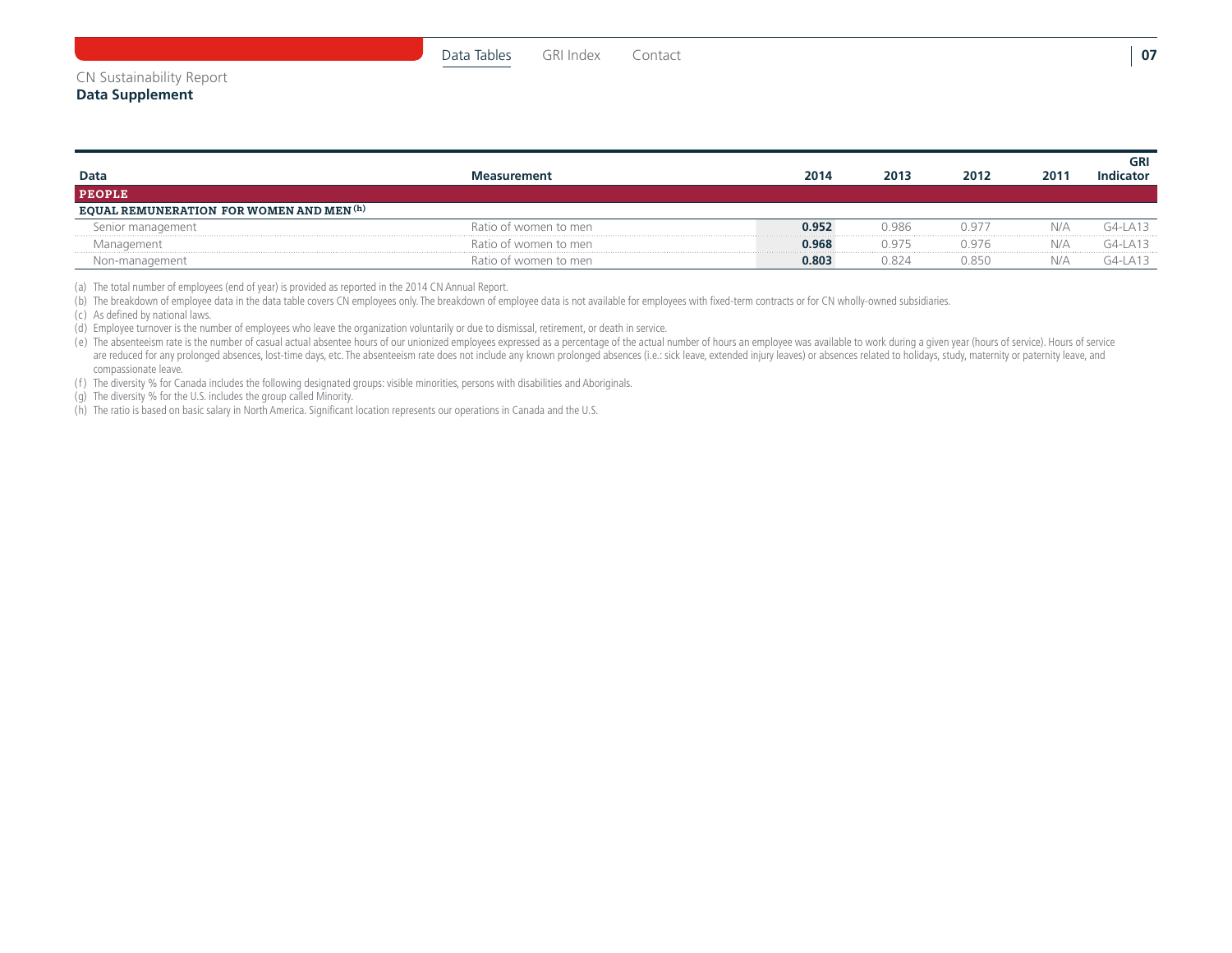#### CN Sustainability Report

| Data<br><b>PEOPLE</b>                    | <b>Aeasurement</b>    | 2014  | 2013  | 2012  | 2011 | GRI<br>Indicator   |
|------------------------------------------|-----------------------|-------|-------|-------|------|--------------------|
| EQUAL REMUNERATION FOR WOMEN AND MEN (h) |                       |       |       |       |      |                    |
| Senior management                        | Ratio of women to men | 0.952 | 0.986 | 0977  | NI/A | $G4-I$ $\Delta$ 13 |
| Management                               | Ratio of women to men | 0.968 | በ 975 | 0.976 | N/A  | $G4-I$ $\Delta$ 13 |
| Non-management                           | Ratio of women to men | 0.803 | 0.824 | 0.850 | N/A  | $G4-I$ $\Delta$ 13 |

(a) The total number of employees (end of year) is provided as reported in the 2014 CN Annual Report.

(b) The breakdown of employee data in the data table covers CN employees only. The breakdown of employee data is not available for employees with fixed-term contracts or for CN wholly-owned subsidiaries.

(c) As defined by national laws.

(d) Employee turnover is the number of employees who leave the organization voluntarily or due to dismissal, retirement, or death in service.

(e) The absenteeism rate is the number of casual actual absentee hours of our unionized employees expressed as a percentage of the actual number of hours an employee was available to work during a given year (hours of serv are reduced for any prolonged absences, lost-time days, etc. The absenteeism rate does not include any known prolonged absences (i.e.: sick leave, extended injury leaves) or absences related to holidays, study, maternity o compassionate leave.

(f ) The diversity % for Canada includes the following designated groups: visible minorities, persons with disabilities and Aboriginals.

(g) The diversity % for the U.S. includes the group called Minority.

(h) The ratio is based on basic salary in North America. Significant location represents our operations in Canada and the U.S.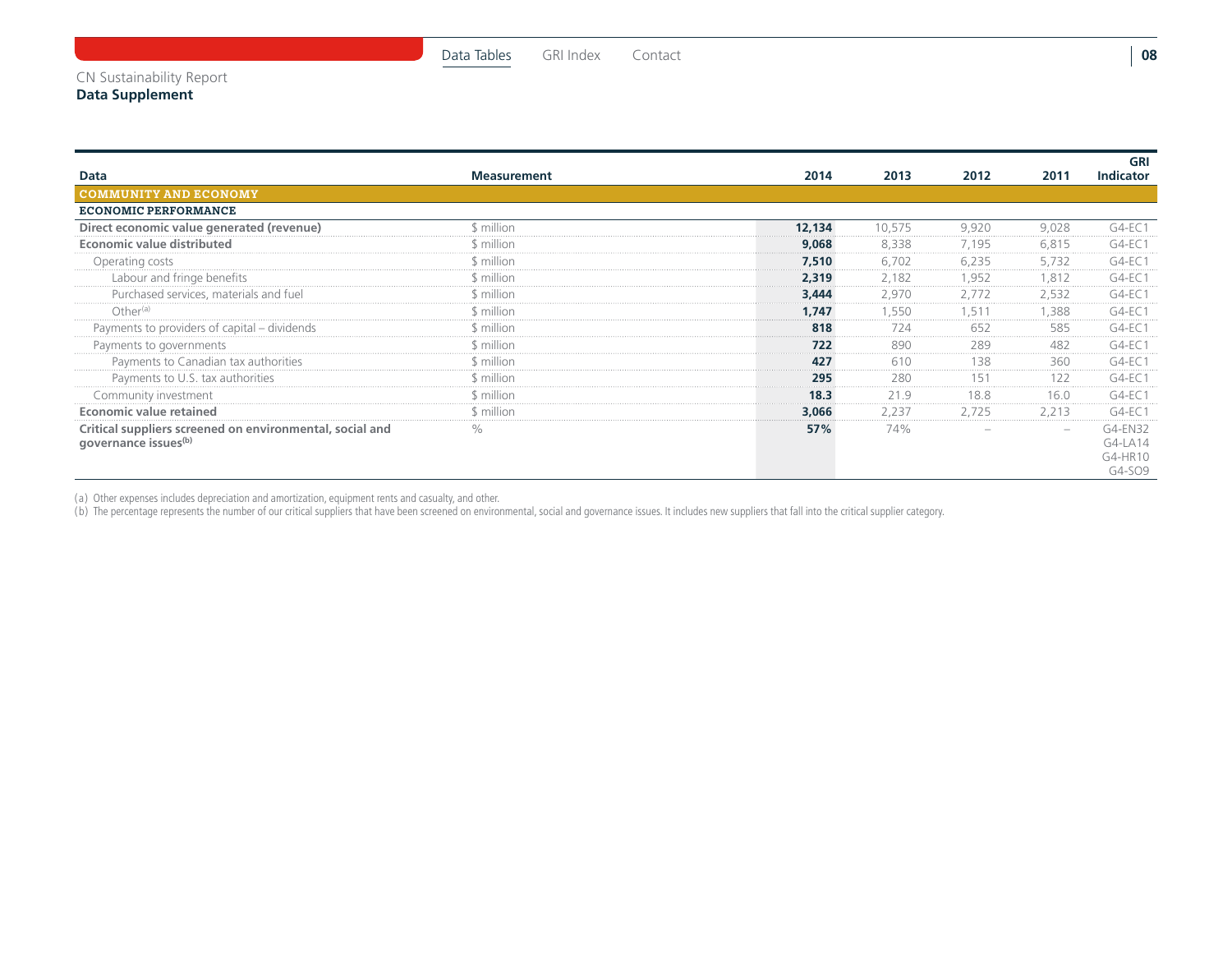**GRI Indicator**

G4-LA14 G4-HR10 G4-SO9

| Data                                                                                         | <b>Measurement</b> | 2014   | 2013   | 2012  | 2011  | <b>GRI</b><br>Indicator |
|----------------------------------------------------------------------------------------------|--------------------|--------|--------|-------|-------|-------------------------|
| <b>COMMUNITY AND ECONOMY</b>                                                                 |                    |        |        |       |       |                         |
| <b>ECONOMIC PERFORMANCE</b>                                                                  |                    |        |        |       |       |                         |
| Direct economic value generated (revenue)                                                    | \$ million         | 12,134 | 10.575 | 9,920 | 9,028 | $G4-EC1$                |
| <b>Economic value distributed</b>                                                            | \$ million.        | 9,068  | 8,338  | 7,195 | 6.815 | $G4-EC1$                |
| Operating costs                                                                              | \$ million         | 7,510  | 6.702  | 6,235 | 5.732 | $G4-EC1$                |
| Labour and fringe benefits                                                                   | \$ million         | 2,319  | 2.182  | 1.952 | .812  | $G4-EC1$                |
| Purchased services, materials and fuel                                                       | \$ million         | 3,444  | 2.970  | 2.772 | 2.532 | $G4-EC1$                |
| Other <sup>(a)</sup>                                                                         | \$ million         | 1.747  | .550   |       | .388  | $G4-EC1$                |
| Payments to providers of capital - dividends                                                 | \$ million.        | 818    | 724    | 652   | 585   | G4-FC1                  |
| Payments to governments                                                                      | \$ million.        | 722    | 890    | 289   | 482   | $G4-EC1$                |
| Payments to Canadian tax authorities                                                         | \$ million.        | 427    | 610    | 138   | 360   | G4-EC 1                 |
| Payments to U.S. tax authorities                                                             | \$ million.        | 295    | 280    | 51    | 122   | G4-FC 1                 |
| Community investment                                                                         | \$ million.        | 18.3   | 21.9   | 18.8  | 16.0  | $G4-EC1$                |
| Economic value retained                                                                      | \$ million         | 3,066  | 2,237  | 2,725 | 2,213 | $G4-EC1$                |
| Critical suppliers screened on environmental, social and<br>governance issues <sup>(b)</sup> | $\%$               | 57%    | 74%    |       |       | G4-EN32<br>G4-LA14      |

(a) Other expenses includes depreciation and amortization, equipment rents and casualty, and other.

(b) The percentage represents the number of our critical suppliers that have been screened on environmental, social and governance issues. It includes new suppliers that fall into the critical supplier category.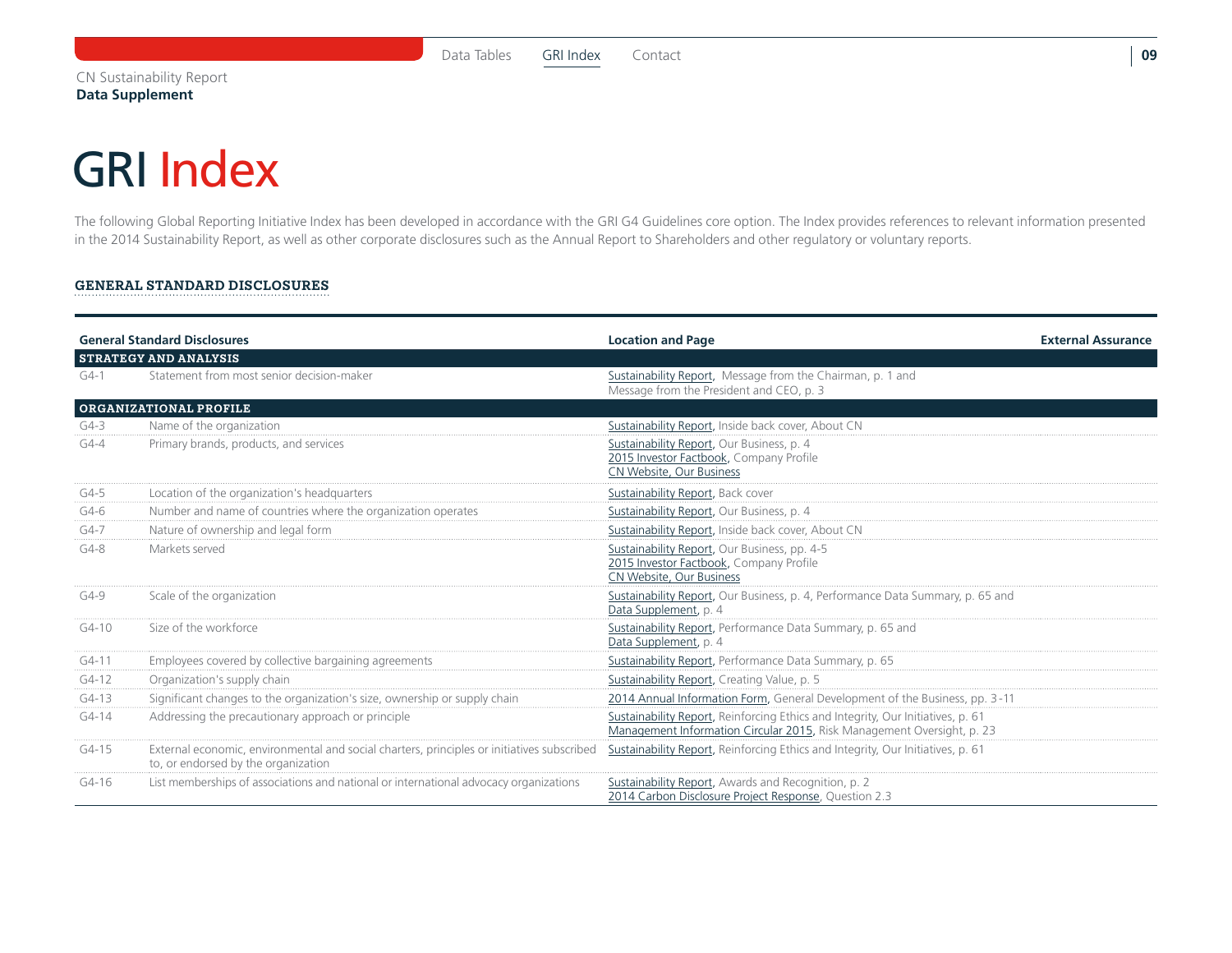### <span id="page-9-0"></span>GRI Index

The following Global Reporting Initiative Index has been developed in accordance with the GRI G4 Guidelines core option. The Index provides references to relevant information presented in the 2014 Sustainability Report, as well as other corporate disclosures such as the Annual Report to Shareholders and other regulatory or voluntary reports.

#### General Standard DisclosureS

|          | <b>General Standard Disclosures</b>                                                                                               | <b>Location and Page</b>                                                                                                                                  | <b>External Assurance</b> |
|----------|-----------------------------------------------------------------------------------------------------------------------------------|-----------------------------------------------------------------------------------------------------------------------------------------------------------|---------------------------|
|          | <b>STRATEGY AND ANALYSIS</b>                                                                                                      |                                                                                                                                                           |                           |
| $G4-1$   | Statement from most senior decision-maker                                                                                         | Sustainability Report, Message from the Chairman, p. 1 and<br>Message from the President and CEO, p. 3                                                    |                           |
|          | <b>ORGANIZATIONAL PROFILE</b>                                                                                                     |                                                                                                                                                           |                           |
| $G4-3$   | Name of the organization                                                                                                          | Sustainability Report, Inside back cover, About CN                                                                                                        |                           |
| $G4 - 4$ | Primary brands, products, and services                                                                                            | Sustainability Report, Our Business, p. 4<br>2015 Investor Factbook, Company Profile<br>CN Website, Our Business                                          |                           |
| $G4-5$   | Location of the organization's headquarters                                                                                       | Sustainability Report, Back cover                                                                                                                         |                           |
| $G4-6$   | Number and name of countries where the organization operates                                                                      | Sustainability Report, Our Business, p. 4                                                                                                                 |                           |
| $G4-7$   | Nature of ownership and legal form                                                                                                | Sustainability Report, Inside back cover, About CN                                                                                                        |                           |
| $G4-8$   | Markets served                                                                                                                    | Sustainability Report, Our Business, pp. 4-5<br>2015 Investor Factbook, Company Profile<br>CN Website, Our Business                                       |                           |
| $G4-9$   | Scale of the organization                                                                                                         | Sustainability Report, Our Business, p. 4, Performance Data Summary, p. 65 and<br>Data Supplement, p. 4                                                   |                           |
| $G4-10$  | Size of the workforce                                                                                                             | Sustainability Report, Performance Data Summary, p. 65 and<br>Data Supplement, p. 4                                                                       |                           |
| $G4-11$  | Employees covered by collective bargaining agreements                                                                             | Sustainability Report, Performance Data Summary, p. 65                                                                                                    |                           |
| $G4-12$  | Organization's supply chain                                                                                                       | Sustainability Report, Creating Value, p. 5                                                                                                               |                           |
| $G4-13$  | Significant changes to the organization's size, ownership or supply chain                                                         | 2014 Annual Information Form, General Development of the Business, pp. 3-11                                                                               |                           |
| $G4-14$  | Addressing the precautionary approach or principle                                                                                | Sustainability Report, Reinforcing Ethics and Integrity, Our Initiatives, p. 61<br>Management Information Circular 2015, Risk Management Oversight, p. 23 |                           |
| $G4-15$  | External economic, environmental and social charters, principles or initiatives subscribed<br>to, or endorsed by the organization | Sustainability Report, Reinforcing Ethics and Integrity, Our Initiatives, p. 61                                                                           |                           |
| G4-16    | List memberships of associations and national or international advocacy organizations                                             | Sustainability Report, Awards and Recognition, p. 2<br>2014 Carbon Disclosure Project Response, Question 2.3                                              |                           |

**09**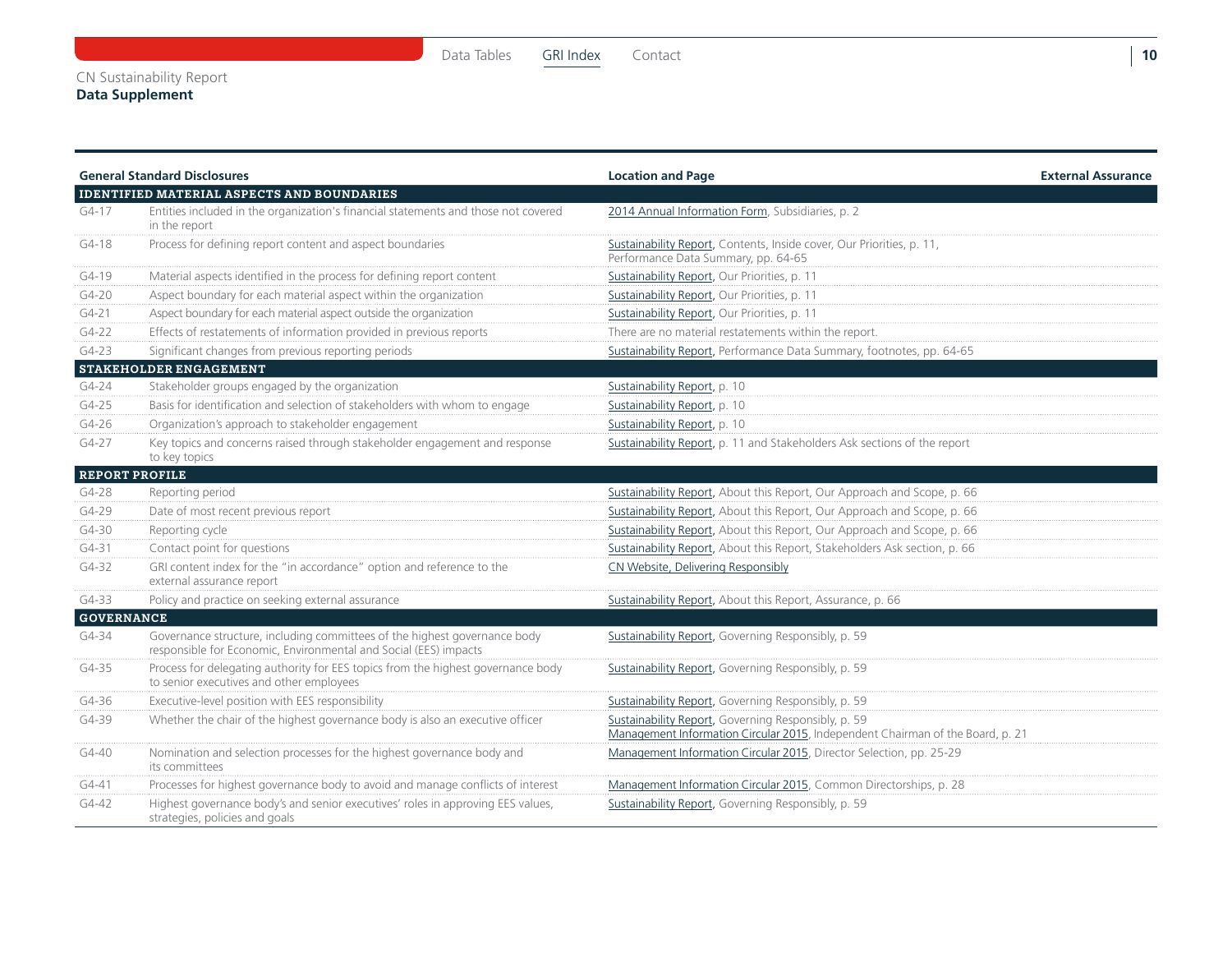**10**

#### **Data Supplement**

|                   | <b>General Standard Disclosures</b>                                                                                                           | <b>Location and Page</b>                                                                                                              | <b>External Assurance</b> |
|-------------------|-----------------------------------------------------------------------------------------------------------------------------------------------|---------------------------------------------------------------------------------------------------------------------------------------|---------------------------|
|                   | <b>IDENTIFIED MATERIAL ASPECTS AND BOUNDARIES</b>                                                                                             |                                                                                                                                       |                           |
| $G4-17$           | Entities included in the organization's financial statements and those not covered<br>in the report                                           | 2014 Annual Information Form, Subsidiaries, p. 2                                                                                      |                           |
| $G4-18$           | Process for defining report content and aspect boundaries                                                                                     | Sustainability Report, Contents, Inside cover, Our Priorities, p. 11,<br>Performance Data Summary, pp. 64-65                          |                           |
| $G4-19$           | Material aspects identified in the process for defining report content                                                                        | Sustainability Report, Our Priorities, p. 11                                                                                          |                           |
| $G4-20$           | Aspect boundary for each material aspect within the organization                                                                              | Sustainability Report, Our Priorities, p. 11                                                                                          |                           |
| $G4-21$           | Aspect boundary for each material aspect outside the organization                                                                             | Sustainability Report, Our Priorities, p. 11                                                                                          |                           |
| $G4-22$           | Effects of restatements of information provided in previous reports                                                                           | There are no material restatements within the report.                                                                                 |                           |
| $G4-23$           | Significant changes from previous reporting periods                                                                                           | Sustainability Report, Performance Data Summary, footnotes, pp. 64-65                                                                 |                           |
|                   | <b>STAKEHOLDER ENGAGEMENT</b>                                                                                                                 |                                                                                                                                       |                           |
| $G4 - 24$         | Stakeholder groups engaged by the organization                                                                                                | Sustainability Report, p. 10                                                                                                          |                           |
| $G4-25$           | Basis for identification and selection of stakeholders with whom to engage                                                                    | Sustainability Report, p. 10                                                                                                          |                           |
| $G4-26$           | Organization's approach to stakeholder engagement                                                                                             | Sustainability Report, p. 10                                                                                                          |                           |
| G4-27             | Key topics and concerns raised through stakeholder engagement and response<br>to key topics                                                   | Sustainability Report, p. 11 and Stakeholders Ask sections of the report                                                              |                           |
|                   | <b>REPORT PROFILE</b>                                                                                                                         |                                                                                                                                       |                           |
| $G4-28$           | Reporting period                                                                                                                              | Sustainability Report, About this Report, Our Approach and Scope, p. 66                                                               |                           |
| G4-29             | Date of most recent previous report                                                                                                           | Sustainability Report, About this Report, Our Approach and Scope, p. 66                                                               |                           |
| G4-30             | Reporting cycle                                                                                                                               | Sustainability Report, About this Report, Our Approach and Scope, p. 66                                                               |                           |
| $G4-31$           | Contact point for questions                                                                                                                   | Sustainability Report, About this Report, Stakeholders Ask section, p. 66                                                             |                           |
| G4-32             | GRI content index for the "in accordance" option and reference to the<br>external assurance report                                            | CN Website, Delivering Responsibly                                                                                                    |                           |
| G4-33             | Policy and practice on seeking external assurance                                                                                             | Sustainability Report, About this Report, Assurance, p. 66                                                                            |                           |
| <b>GOVERNANCE</b> |                                                                                                                                               |                                                                                                                                       |                           |
| G4-34             | Governance structure, including committees of the highest governance body<br>responsible for Economic, Environmental and Social (EES) impacts | Sustainability Report, Governing Responsibly, p. 59                                                                                   |                           |
| G4-35             | Process for delegating authority for EES topics from the highest governance body<br>to senior executives and other employees                  | Sustainability Report, Governing Responsibly, p. 59                                                                                   |                           |
| G4-36             | Executive-level position with EES responsibility                                                                                              | Sustainability Report, Governing Responsibly, p. 59                                                                                   |                           |
| G4-39             | Whether the chair of the highest governance body is also an executive officer                                                                 | Sustainability Report, Governing Responsibly, p. 59<br>Management Information Circular 2015, Independent Chairman of the Board, p. 21 |                           |
| $G4 - 40$         | Nomination and selection processes for the highest governance body and<br>its committees                                                      | Management Information Circular 2015, Director Selection, pp. 25-29                                                                   |                           |
| $G4 - 41$         | Processes for highest governance body to avoid and manage conflicts of interest                                                               | Management Information Circular 2015, Common Directorships, p. 28                                                                     |                           |
| $G4 - 42$         | Highest governance body's and senior executives' roles in approving EES values,<br>strategies, policies and goals                             | Sustainability Report, Governing Responsibly, p. 59                                                                                   |                           |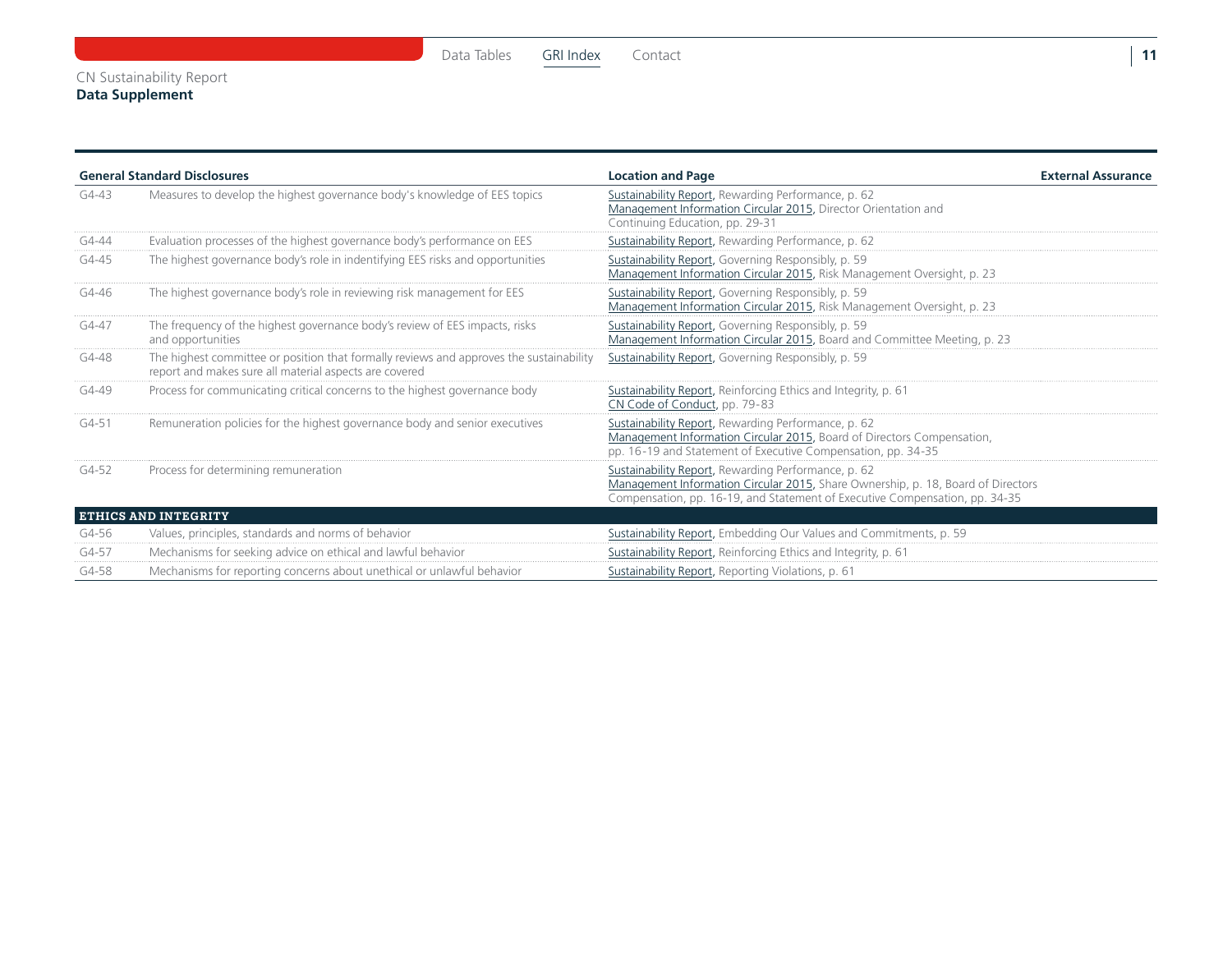|           | <b>General Standard Disclosures</b>                                                                                                               | <b>Location and Page</b>                                                                                                                                                                                               | <b>External Assurance</b> |
|-----------|---------------------------------------------------------------------------------------------------------------------------------------------------|------------------------------------------------------------------------------------------------------------------------------------------------------------------------------------------------------------------------|---------------------------|
| G4-43     | Measures to develop the highest governance body's knowledge of EES topics                                                                         | Sustainability Report, Rewarding Performance, p. 62<br>Management Information Circular 2015, Director Orientation and<br>Continuing Education, pp. 29-31                                                               |                           |
| G4-44     | Evaluation processes of the highest governance body's performance on EES                                                                          | Sustainability Report, Rewarding Performance, p. 62                                                                                                                                                                    |                           |
| G4-45     | The highest governance body's role in indentifying EES risks and opportunities                                                                    | Sustainability Report, Governing Responsibly, p. 59<br>Management Information Circular 2015, Risk Management Oversight, p. 23                                                                                          |                           |
| G4-46     | The highest governance body's role in reviewing risk management for EES                                                                           | Sustainability Report, Governing Responsibly, p. 59<br>Management Information Circular 2015, Risk Management Oversight, p. 23                                                                                          |                           |
| $G4 - 47$ | The frequency of the highest governance body's review of EES impacts, risks<br>and opportunities                                                  | Sustainability Report, Governing Responsibly, p. 59<br>Management Information Circular 2015, Board and Committee Meeting, p. 23                                                                                        |                           |
| G4-48     | The highest committee or position that formally reviews and approves the sustainability<br>report and makes sure all material aspects are covered | Sustainability Report, Governing Responsibly, p. 59                                                                                                                                                                    |                           |
| G4-49     | Process for communicating critical concerns to the highest governance body                                                                        | Sustainability Report, Reinforcing Ethics and Integrity, p. 61<br>CN Code of Conduct, pp. 79-83                                                                                                                        |                           |
| $G4 - 51$ | Remuneration policies for the highest governance body and senior executives                                                                       | Sustainability Report, Rewarding Performance, p. 62<br>Management Information Circular 2015, Board of Directors Compensation,<br>pp. 16-19 and Statement of Executive Compensation, pp. 34-35                          |                           |
| $G4-52$   | Process for determining remuneration                                                                                                              | Sustainability Report, Rewarding Performance, p. 62<br>Management Information Circular 2015, Share Ownership, p. 18, Board of Directors<br>Compensation, pp. 16-19, and Statement of Executive Compensation, pp. 34-35 |                           |
|           | <b>ETHICS AND INTEGRITY</b>                                                                                                                       |                                                                                                                                                                                                                        |                           |
| G4-56     | Values, principles, standards and norms of behavior                                                                                               | Sustainability Report, Embedding Our Values and Commitments, p. 59                                                                                                                                                     |                           |
| G4-57     | Mechanisms for seeking advice on ethical and lawful behavior                                                                                      | Sustainability Report, Reinforcing Ethics and Integrity, p. 61                                                                                                                                                         |                           |
| G4-58     | Mechanisms for reporting concerns about unethical or unlawful behavior                                                                            | Sustainability Report, Reporting Violations, p. 61                                                                                                                                                                     |                           |

**11**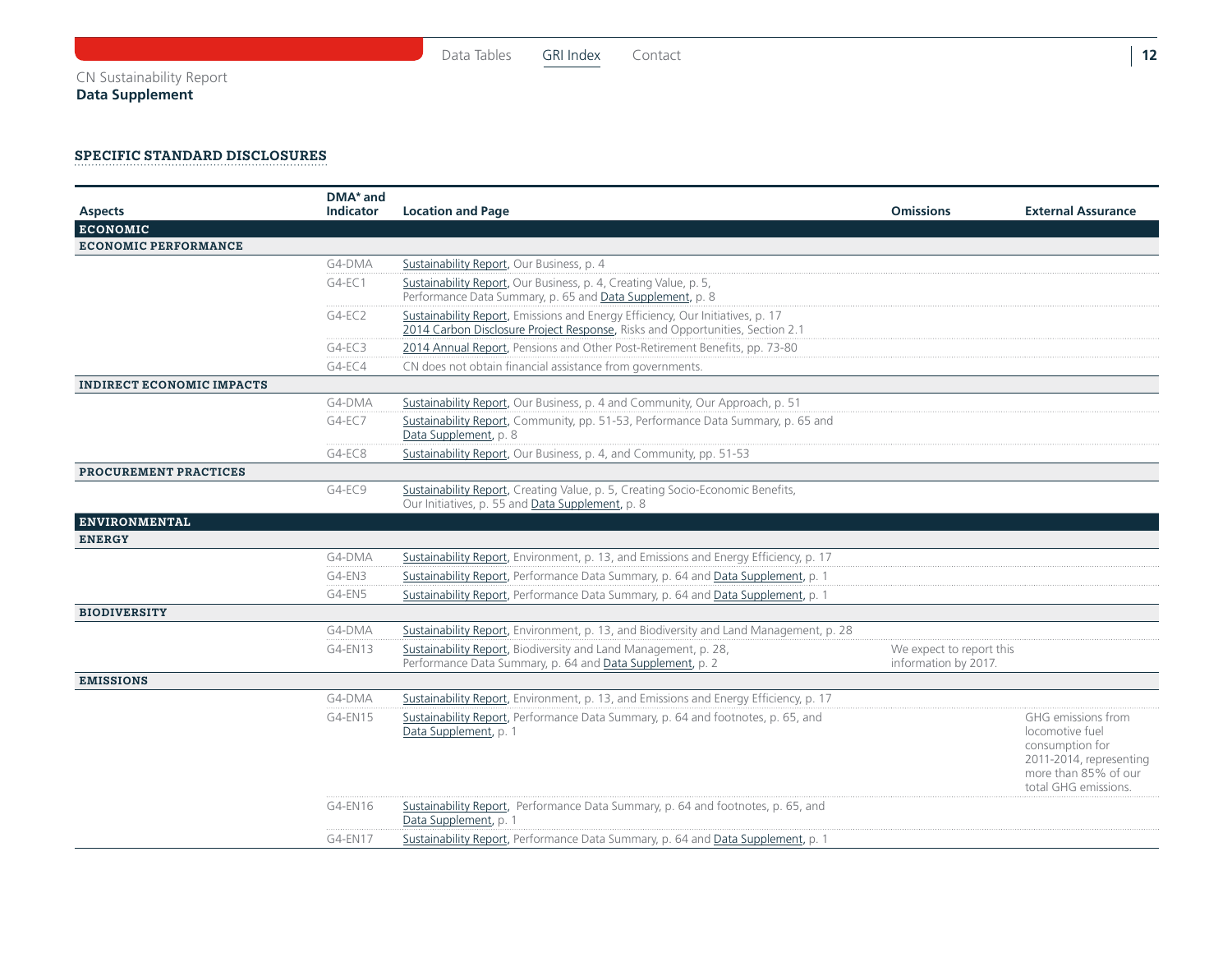#### Specific Standard Disclosures

| <b>Aspects</b>                   | DMA <sup>*</sup> and<br><b>Indicator</b> | <b>Location and Page</b>                                                                                                                                        | <b>Omissions</b>                                 | <b>External Assurance</b>                                                                                                           |
|----------------------------------|------------------------------------------|-----------------------------------------------------------------------------------------------------------------------------------------------------------------|--------------------------------------------------|-------------------------------------------------------------------------------------------------------------------------------------|
| <b>ECONOMIC</b>                  |                                          |                                                                                                                                                                 |                                                  |                                                                                                                                     |
| <b>ECONOMIC PERFORMANCE</b>      |                                          |                                                                                                                                                                 |                                                  |                                                                                                                                     |
|                                  | G4-DMA                                   | Sustainability Report, Our Business, p. 4                                                                                                                       |                                                  |                                                                                                                                     |
|                                  | $G4-EC1$                                 | Sustainability Report, Our Business, p. 4, Creating Value, p. 5,<br>Performance Data Summary, p. 65 and Data Supplement, p. 8                                   |                                                  |                                                                                                                                     |
|                                  | $G4-EC2$                                 | Sustainability Report, Emissions and Energy Efficiency, Our Initiatives, p. 17<br>2014 Carbon Disclosure Project Response, Risks and Opportunities, Section 2.1 |                                                  |                                                                                                                                     |
|                                  | $G4-EC3$                                 | 2014 Annual Report, Pensions and Other Post-Retirement Benefits, pp. 73-80                                                                                      |                                                  |                                                                                                                                     |
|                                  | $G4-EC4$                                 | CN does not obtain financial assistance from governments.                                                                                                       |                                                  |                                                                                                                                     |
| <b>INDIRECT ECONOMIC IMPACTS</b> |                                          |                                                                                                                                                                 |                                                  |                                                                                                                                     |
|                                  | G4-DMA                                   | Sustainability Report, Our Business, p. 4 and Community, Our Approach, p. 51                                                                                    |                                                  |                                                                                                                                     |
|                                  | $G4-EC7$                                 | Sustainability Report, Community, pp. 51-53, Performance Data Summary, p. 65 and<br>Data Supplement, p. 8                                                       |                                                  |                                                                                                                                     |
|                                  | $G4-EC8$                                 | Sustainability Report, Our Business, p. 4, and Community, pp. 51-53                                                                                             |                                                  |                                                                                                                                     |
| PROCUREMENT PRACTICES            |                                          |                                                                                                                                                                 |                                                  |                                                                                                                                     |
|                                  | G4-EC9                                   | Sustainability Report, Creating Value, p. 5, Creating Socio-Economic Benefits,<br>Our Initiatives, p. 55 and Data Supplement, p. 8                              |                                                  |                                                                                                                                     |
| <b>ENVIRONMENTAL</b>             |                                          |                                                                                                                                                                 |                                                  |                                                                                                                                     |
| <b>ENERGY</b>                    |                                          |                                                                                                                                                                 |                                                  |                                                                                                                                     |
|                                  | G4-DMA                                   | Sustainability Report, Environment, p. 13, and Emissions and Energy Efficiency, p. 17                                                                           |                                                  |                                                                                                                                     |
|                                  | G4-EN3                                   | Sustainability Report, Performance Data Summary, p. 64 and Data Supplement, p. 1                                                                                |                                                  |                                                                                                                                     |
|                                  | G4-EN5                                   | Sustainability Report, Performance Data Summary, p. 64 and Data Supplement, p. 1                                                                                |                                                  |                                                                                                                                     |
| <b>BIODIVERSITY</b>              |                                          |                                                                                                                                                                 |                                                  |                                                                                                                                     |
|                                  | G4-DMA                                   | Sustainability Report, Environment, p. 13, and Biodiversity and Land Management, p. 28                                                                          |                                                  |                                                                                                                                     |
|                                  | G4-EN13                                  | Sustainability Report, Biodiversity and Land Management, p. 28,<br>Performance Data Summary, p. 64 and Data Supplement, p. 2                                    | We expect to report this<br>information by 2017. |                                                                                                                                     |
| <b>EMISSIONS</b>                 |                                          |                                                                                                                                                                 |                                                  |                                                                                                                                     |
|                                  | G4-DMA                                   | Sustainability Report, Environment, p. 13, and Emissions and Energy Efficiency, p. 17                                                                           |                                                  |                                                                                                                                     |
|                                  | $G4$ -EN15                               | Sustainability Report, Performance Data Summary, p. 64 and footnotes, p. 65, and<br>Data Supplement, p. 1                                                       |                                                  | GHG emissions from<br>locomotive fuel<br>consumption for<br>2011-2014, representing<br>more than 85% of our<br>total GHG emissions. |
|                                  | G4-EN16                                  | Sustainability Report, Performance Data Summary, p. 64 and footnotes, p. 65, and<br>Data Supplement, p. 1                                                       |                                                  |                                                                                                                                     |
|                                  | G4-EN17                                  | Sustainability Report, Performance Data Summary, p. 64 and Data Supplement, p. 1                                                                                |                                                  |                                                                                                                                     |

[Data Tables](#page-1-0) [GRI Index](#page-9-0) Contact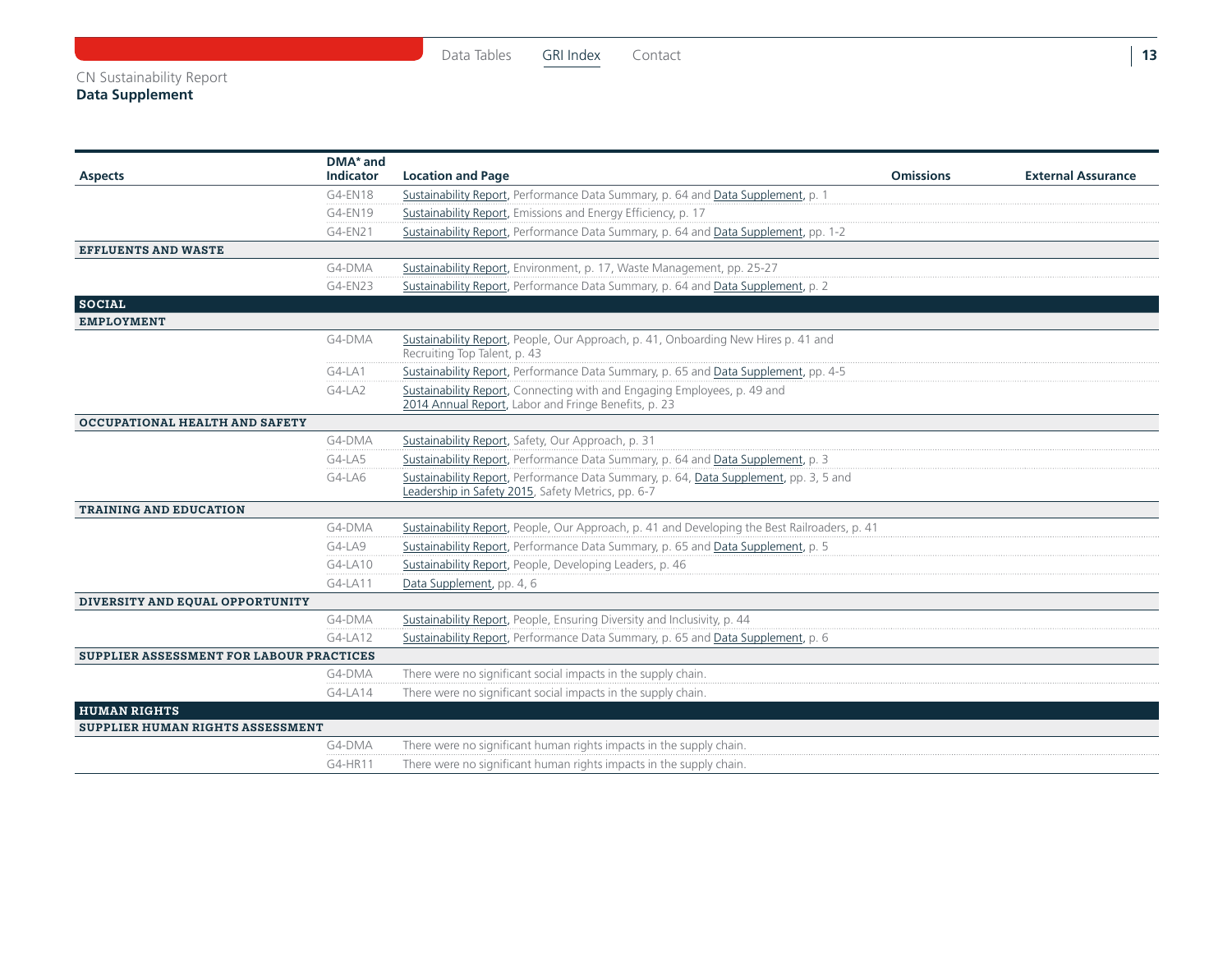#### CN Sustainability Report

#### **Data Supplement**

[Data Tables](#page-1-0) [GRI Index](#page-9-0) Contact

| <b>Aspects</b>                           | טווט הועו<br><b>Indicator</b> | <b>Location and Page</b>                                                                                                                    | <b>Omissions</b> | <b>External Assurance</b> |
|------------------------------------------|-------------------------------|---------------------------------------------------------------------------------------------------------------------------------------------|------------------|---------------------------|
|                                          | G4-EN18                       | Sustainability Report, Performance Data Summary, p. 64 and Data Supplement, p. 1                                                            |                  |                           |
|                                          | G4-EN19                       | Sustainability Report, Emissions and Energy Efficiency, p. 17                                                                               |                  |                           |
|                                          | G4-EN21                       | Sustainability Report, Performance Data Summary, p. 64 and Data Supplement, pp. 1-2                                                         |                  |                           |
| <b>EFFLUENTS AND WASTE</b>               |                               |                                                                                                                                             |                  |                           |
|                                          | G4-DMA                        | Sustainability Report, Environment, p. 17, Waste Management, pp. 25-27                                                                      |                  |                           |
|                                          | G4-EN23                       | Sustainability Report, Performance Data Summary, p. 64 and Data Supplement, p. 2                                                            |                  |                           |
| <b>SOCIAL</b>                            |                               |                                                                                                                                             |                  |                           |
| <b>EMPLOYMENT</b>                        |                               |                                                                                                                                             |                  |                           |
|                                          | G4-DMA                        | Sustainability Report, People, Our Approach, p. 41, Onboarding New Hires p. 41 and<br>Recruiting Top Talent, p. 43                          |                  |                           |
|                                          | $G4-LA1$                      | Sustainability Report, Performance Data Summary, p. 65 and Data Supplement, pp. 4-5                                                         |                  |                           |
|                                          | $G4-LA2$                      | Sustainability Report, Connecting with and Engaging Employees, p. 49 and<br>2014 Annual Report, Labor and Fringe Benefits, p. 23            |                  |                           |
| <b>OCCUPATIONAL HEALTH AND SAFETY</b>    |                               |                                                                                                                                             |                  |                           |
|                                          | G4-DMA                        | Sustainability Report, Safety, Our Approach, p. 31                                                                                          |                  |                           |
|                                          | G4-LA5                        | Sustainability Report, Performance Data Summary, p. 64 and Data Supplement, p. 3                                                            |                  |                           |
|                                          | G4-LA6                        | Sustainability Report, Performance Data Summary, p. 64, Data Supplement, pp. 3, 5 and<br>Leadership in Safety 2015, Safety Metrics, pp. 6-7 |                  |                           |
| <b>TRAINING AND EDUCATION</b>            |                               |                                                                                                                                             |                  |                           |
|                                          | G4-DMA                        | Sustainability Report, People, Our Approach, p. 41 and Developing the Best Railroaders, p. 41                                               |                  |                           |
|                                          | G4-LA9                        | Sustainability Report, Performance Data Summary, p. 65 and Data Supplement, p. 5                                                            |                  |                           |
|                                          | G4-LA10                       | Sustainability Report, People, Developing Leaders, p. 46                                                                                    |                  |                           |
|                                          | G4-LA11                       | Data Supplement, pp. 4, 6                                                                                                                   |                  |                           |
| DIVERSITY AND EQUAL OPPORTUNITY          |                               |                                                                                                                                             |                  |                           |
|                                          | G4-DMA                        | Sustainability Report, People, Ensuring Diversity and Inclusivity, p. 44                                                                    |                  |                           |
|                                          | G4-LA12                       | Sustainability Report, Performance Data Summary, p. 65 and Data Supplement, p. 6                                                            |                  |                           |
| SUPPLIER ASSESSMENT FOR LABOUR PRACTICES |                               |                                                                                                                                             |                  |                           |
|                                          | G4-DMA                        | There were no significant social impacts in the supply chain.                                                                               |                  |                           |
|                                          | G4-LA14                       | There were no significant social impacts in the supply chain.                                                                               |                  |                           |
| <b>HUMAN RIGHTS</b>                      |                               |                                                                                                                                             |                  |                           |
| SUPPLIER HUMAN RIGHTS ASSESSMENT         |                               |                                                                                                                                             |                  |                           |
|                                          | G4-DMA                        | There were no significant human rights impacts in the supply chain.                                                                         |                  |                           |
|                                          | G4-HR11                       | There were no significant human rights impacts in the supply chain.                                                                         |                  |                           |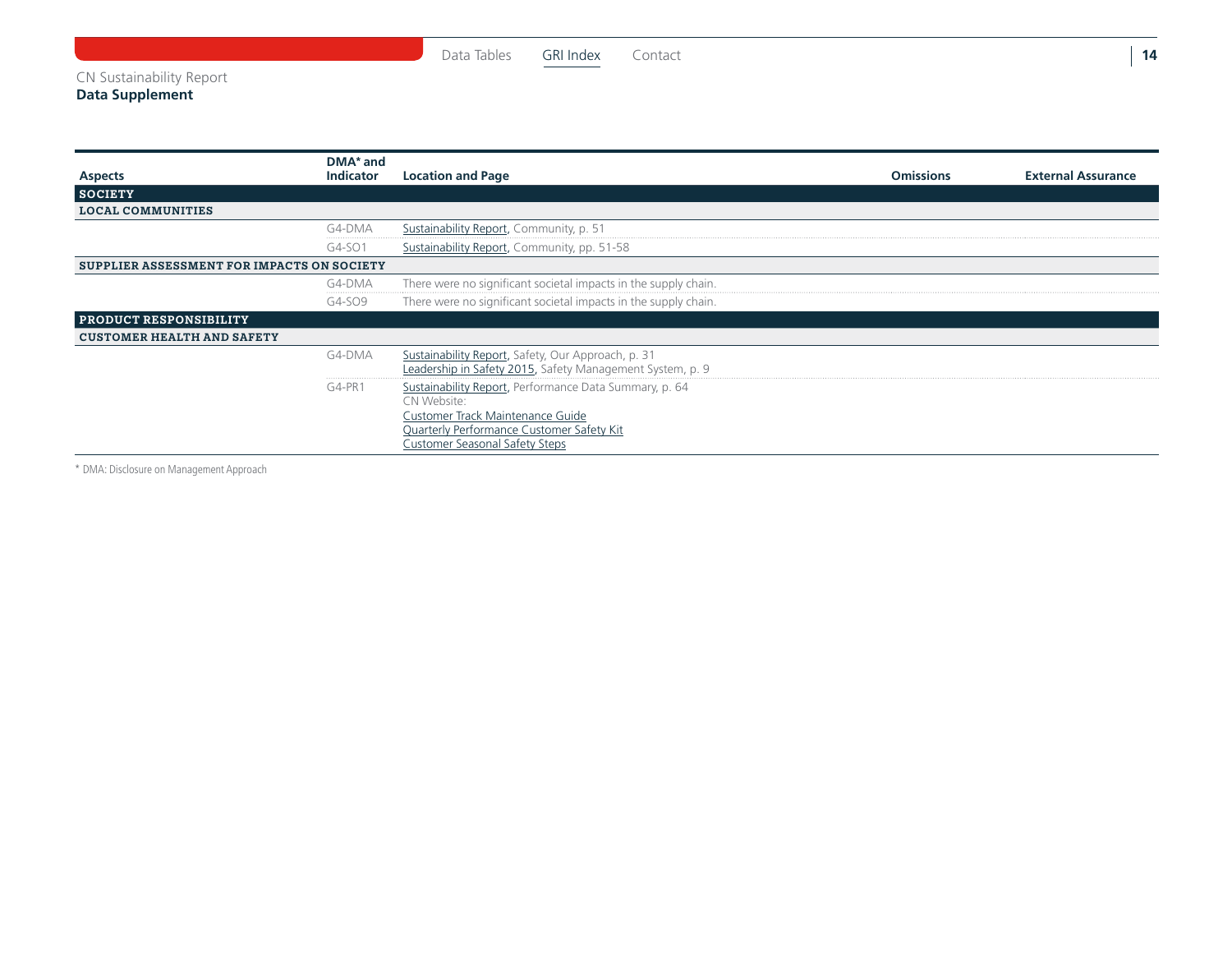#### CN Sustainability Report

**Data Supplement**

|                                            | DMA* and         |                                                                                                                                                                                          |                  |                           |
|--------------------------------------------|------------------|------------------------------------------------------------------------------------------------------------------------------------------------------------------------------------------|------------------|---------------------------|
| <b>Aspects</b>                             | <b>Indicator</b> | <b>Location and Page</b>                                                                                                                                                                 | <b>Omissions</b> | <b>External Assurance</b> |
| <b>SOCIETY</b>                             |                  |                                                                                                                                                                                          |                  |                           |
| <b>LOCAL COMMUNITIES</b>                   |                  |                                                                                                                                                                                          |                  |                           |
|                                            | G4-DMA           | Sustainability Report, Community, p. 51                                                                                                                                                  |                  |                           |
|                                            | G4-SO1           | Sustainability Report, Community, pp. 51-58                                                                                                                                              |                  |                           |
| SUPPLIER ASSESSMENT FOR IMPACTS ON SOCIETY |                  |                                                                                                                                                                                          |                  |                           |
|                                            | G4-DMA           | There were no significant societal impacts in the supply chain.                                                                                                                          |                  |                           |
|                                            | G4-SO9           | There were no significant societal impacts in the supply chain.                                                                                                                          |                  |                           |
| <b>PRODUCT RESPONSIBILITY</b>              |                  |                                                                                                                                                                                          |                  |                           |
| <b>CUSTOMER HEALTH AND SAFETY</b>          |                  |                                                                                                                                                                                          |                  |                           |
|                                            | G4-DMA           | Sustainability Report, Safety, Our Approach, p. 31<br>Leadership in Safety 2015, Safety Management System, p. 9                                                                          |                  |                           |
|                                            | $G4-PR1$         | Sustainability Report, Performance Data Summary, p. 64<br>CN Website:<br>Customer Track Maintenance Guide<br>Quarterly Performance Customer Safety Kit<br>Customer Seasonal Safety Steps |                  |                           |

\* DMA: Disclosure on Management Approach